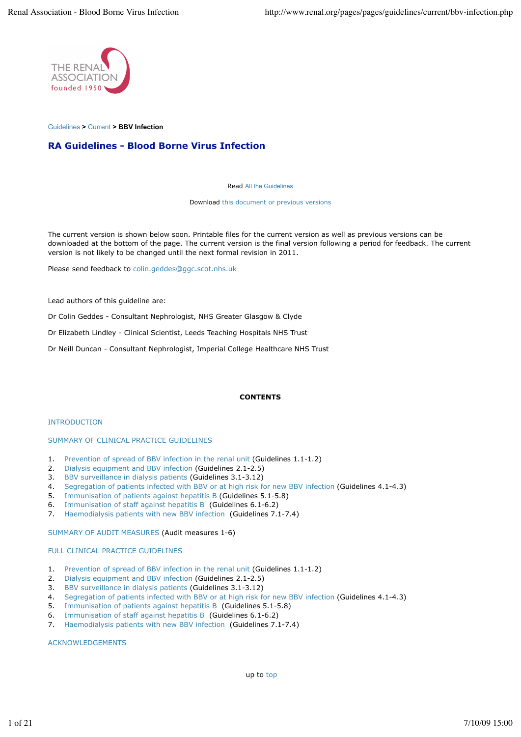

Guidelines **>** Current **> BBV Infection**

## **RA Guidelines - Blood Borne Virus Infection**

Read All the Guidelines

Download this document or previous versions

The current version is shown below soon. Printable files for the current version as well as previous versions can be downloaded at the bottom of the page. The current version is the final version following a period for feedback. The current version is not likely to be changed until the next formal revision in 2011.

Please send feedback to colin.geddes@ggc.scot.nhs.uk

Lead authors of this guideline are:

Dr Colin Geddes - Consultant Nephrologist, NHS Greater Glasgow & Clyde

Dr Elizabeth Lindley - Clinical Scientist, Leeds Teaching Hospitals NHS Trust

Dr Neill Duncan - Consultant Nephrologist, Imperial College Healthcare NHS Trust

## **CONTENTS**

#### INTRODUCTION

#### SUMMARY OF CLINICAL PRACTICE GUIDELINES

- 1. Prevention of spread of BBV infection in the renal unit (Guidelines 1.1-1.2)
- 2. Dialysis equipment and BBV infection (Guidelines 2.1-2.5)
- 3. BBV surveillance in dialysis patients (Guidelines 3.1-3.12)
- 4. Segregation of patients infected with BBV or at high risk for new BBV infection (Guidelines 4.1-4.3)
- 5. Immunisation of patients against hepatitis B (Guidelines 5.1-5.8)
- 6. Immunisation of staff against hepatitis B (Guidelines 6.1-6.2)
- 7. Haemodialysis patients with new BBV infection (Guidelines 7.1-7.4)

SUMMARY OF AUDIT MEASURES (Audit measures 1-6)

## FULL CLINICAL PRACTICE GUIDELINES

- 1. Prevention of spread of BBV infection in the renal unit (Guidelines 1.1-1.2)
- 2. Dialysis equipment and BBV infection (Guidelines 2.1-2.5)
- 3. BBV surveillance in dialysis patients (Guidelines 3.1-3.12)
- 4. Segregation of patients infected with BBV or at high risk for new BBV infection (Guidelines 4.1-4.3)
- 5. Immunisation of patients against hepatitis B (Guidelines 5.1-5.8)
- 6. Immunisation of staff against hepatitis B (Guidelines 6.1-6.2)
- 7. Haemodialysis patients with new BBV infection (Guidelines 7.1-7.4)

ACKNOWLEDGEMENTS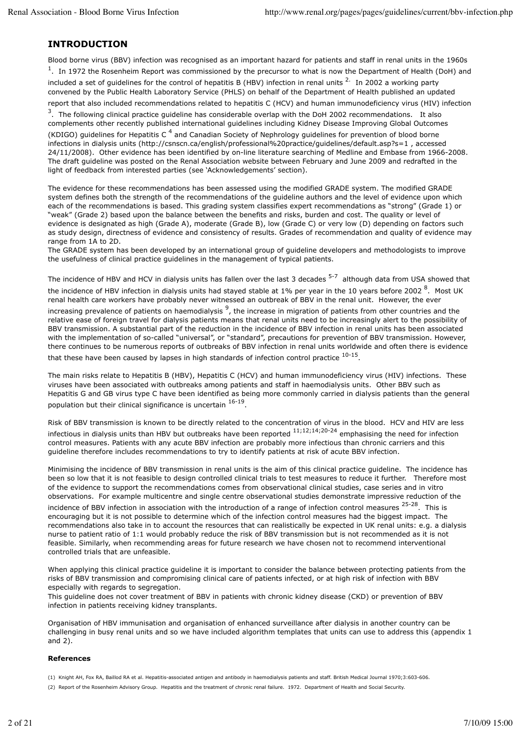## **INTRODUCTION**

Blood borne virus (BBV) infection was recognised as an important hazard for patients and staff in renal units in the 1960s <sup>1</sup>. In 1972 the Rosenheim Report was commissioned by the precursor to what is now the Department of Health (DoH) and included a set of quidelines for the control of hepatitis B (HBV) infection in renal units  $2^{\circ}$ . In 2002 a working party convened by the Public Health Laboratory Service (PHLS) on behalf of the Department of Health published an updated report that also included recommendations related to hepatitis C (HCV) and human immunodeficiency virus (HIV) infection  $3$ . The following clinical practice guideline has considerable overlap with the DoH 2002 recommendations. It also complements other recently published international guidelines including Kidney Disease Improving Global Outcomes (KDIGO) guidelines for Hepatitis C<sup>4</sup> and Canadian Society of Nephrology guidelines for prevention of blood borne infections in dialysis units (http://csnscn.ca/english/professional%20practice/guidelines/default.asp?s=1 , accessed 24/11/2008). Other evidence has been identified by on-line literature searching of Medline and Embase from 1966-2008. The draft guideline was posted on the Renal Association website between February and June 2009 and redrafted in the light of feedback from interested parties (see 'Acknowledgements' section).

The evidence for these recommendations has been assessed using the modified GRADE system. The modified GRADE system defines both the strength of the recommendations of the guideline authors and the level of evidence upon which each of the recommendations is based. This grading system classifies expert recommendations as "strong" (Grade 1) or "weak" (Grade 2) based upon the balance between the benefits and risks, burden and cost. The quality or level of evidence is designated as high (Grade A), moderate (Grade B), low (Grade C) or very low (D) depending on factors such as study design, directness of evidence and consistency of results. Grades of recommendation and quality of evidence may range from 1A to 2D.

The GRADE system has been developed by an international group of guideline developers and methodologists to improve the usefulness of clinical practice guidelines in the management of typical patients.

The incidence of HBV and HCV in dialysis units has fallen over the last 3 decades <sup>5-7</sup> although data from USA showed that the incidence of HBV infection in dialysis units had stayed stable at 1% per year in the 10 years before 2002  $^8$ . Most UK renal health care workers have probably never witnessed an outbreak of BBV in the renal unit. However, the ever

increasing prevalence of patients on haemodialysis <sup>9</sup>, the increase in migration of patients from other countries and the relative ease of foreign travel for dialysis patients means that renal units need to be increasingly alert to the possibility of BBV transmission. A substantial part of the reduction in the incidence of BBV infection in renal units has been associated with the implementation of so-called "universal", or "standard", precautions for prevention of BBV transmission. However, there continues to be numerous reports of outbreaks of BBV infection in renal units worldwide and often there is evidence that these have been caused by lapses in high standards of infection control practice  $10-15$ .

The main risks relate to Hepatitis B (HBV), Hepatitis C (HCV) and human immunodeficiency virus (HIV) infections. These viruses have been associated with outbreaks among patients and staff in haemodialysis units. Other BBV such as Hepatitis G and GB virus type C have been identified as being more commonly carried in dialysis patients than the general population but their clinical significance is uncertain  $16-19$ .

Risk of BBV transmission is known to be directly related to the concentration of virus in the blood. HCV and HIV are less infectious in dialysis units than HBV but outbreaks have been reported  $11;12;14;20-24$  emphasising the need for infection control measures. Patients with any acute BBV infection are probably more infectious than chronic carriers and this guideline therefore includes recommendations to try to identify patients at risk of acute BBV infection.

Minimising the incidence of BBV transmission in renal units is the aim of this clinical practice guideline. The incidence has been so low that it is not feasible to design controlled clinical trials to test measures to reduce it further. Therefore most of the evidence to support the recommendations comes from observational clinical studies, case series and in vitro observations. For example multicentre and single centre observational studies demonstrate impressive reduction of the incidence of BBV infection in association with the introduction of a range of infection control measures  $25-28$ . This is encouraging but it is not possible to determine which of the infection control measures had the biggest impact. The recommendations also take in to account the resources that can realistically be expected in UK renal units: e.g. a dialysis nurse to patient ratio of 1:1 would probably reduce the risk of BBV transmission but is not recommended as it is not feasible. Similarly, when recommending areas for future research we have chosen not to recommend interventional controlled trials that are unfeasible.

When applying this clinical practice guideline it is important to consider the balance between protecting patients from the risks of BBV transmission and compromising clinical care of patients infected, or at high risk of infection with BBV especially with regards to segregation.

This guideline does not cover treatment of BBV in patients with chronic kidney disease (CKD) or prevention of BBV infection in patients receiving kidney transplants.

Organisation of HBV immunisation and organisation of enhanced surveillance after dialysis in another country can be challenging in busy renal units and so we have included algorithm templates that units can use to address this (appendix 1 and 2).

## **References**

(1) Knight AH, Fox RA, Baillod RA et al. Hepatitis-associated antigen and antibody in haemodialysis patients and staff. British Medical Journal 1970;3:603-606.

(2) Report of the Rosenheim Advisory Group. Hepatitis and the treatment of chronic renal failure. 1972. Department of Health and Social Security.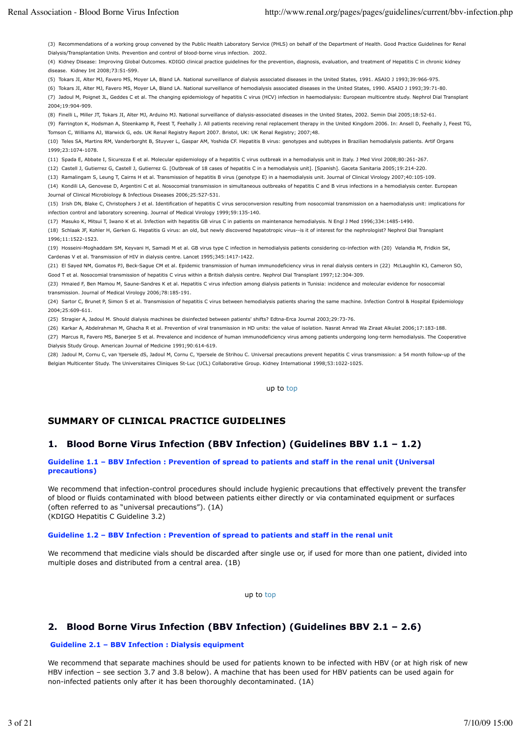(3) Recommendations of a working group convened by the Public Health Laboratory Service (PHLS) on behalf of the Department of Health. Good Practice Guidelines for Renal Dialysis/Transplantation Units. Prevention and control of blood-borne virus infection. 2002.

(4) Kidney Disease: Improving Global Outcomes. KDIGO clinical practice guidelines for the prevention, diagnosis, evaluation, and treatment of Hepatitis C in chronic kidney disease. Kidney Int 2008;73:S1-S99.

(5) Tokars JI, Alter MJ, Favero MS, Moyer LA, Bland LA. National surveillance of dialysis associated diseases in the United States, 1991. ASAIO J 1993;39:966-975.

(6) Tokars JI, Alter MJ, Favero MS, Moyer LA, Bland LA. National surveillance of hemodialysis associated diseases in the United States, 1990. ASAIO J 1993;39:71-80. (7) Jadoul M, Poignet JL, Geddes C et al. The changing epidemiology of hepatitis C virus (HCV) infection in haemodialysis: European multicentre study. Nephrol Dial Transplant 2004;19:904-909.

(8) Finelli L, Miller JT, Tokars JI, Alter MJ, Arduino MJ. National surveillance of dialysis-associated diseases in the United States, 2002. Semin Dial 2005;18:52-61.

(9) Farrington K, Hodsman A, Steenkamp R, Feest T, Feehally J. All patients receiving renal replacement therapy in the United Kingdom 2006. In: Ansell D, Feehally J, Feest TG, Tomson C, Williams AJ, Warwick G, eds. UK Renal Registry Report 2007. Bristol, UK: UK Renal Registry; 2007;48.

(10) Teles SA, Martins RM, Vanderborght B, Stuyver L, Gaspar AM, Yoshida CF. Hepatitis B virus: genotypes and subtypes in Brazilian hemodialysis patients. Artif Organs 1999;23:1074-1078.

(11) Spada E, Abbate I, Sicurezza E et al. Molecular epidemiology of a hepatitis C virus outbreak in a hemodialysis unit in Italy. J Med Virol 2008;80:261-267.

(12) Castell J, Gutierrez G, Castell J, Gutierrez G. [Outbreak of 18 cases of hepatitis C in a hemodialysis unit]. [Spanish]. Gaceta Sanitaria 2005;19:214-220.

(13) Ramalingam S, Leung T, Cairns H et al. Transmission of hepatitis B virus (genotype E) in a haemodialysis unit. Journal of Clinical Virology 2007;40:105-109. (14) Kondili LA, Genovese D, Argentini C et al. Nosocomial transmission in simultaneous outbreaks of hepatitis C and B virus infections in a hemodialysis center. European

Journal of Clinical Microbiology & Infectious Diseases 2006;25:527-531.

(15) Irish DN, Blake C, Christophers J et al. Identification of hepatitis C virus seroconversion resulting from nosocomial transmission on a haemodialysis unit: implications for infection control and laboratory screening. Journal of Medical Virology 1999;59:135-140.

(17) Masuko K, Mitsui T, Iwano K et al. Infection with hepatitis GB virus C in patients on maintenance hemodialysis. N Engl J Med 1996;334:1485-1490.

(18) Schlaak JF, Kohler H, Gerken G. Hepatitis G virus: an old, but newly discovered hepatotropic virus--is it of interest for the nephrologist? Nephrol Dial Transplant 1996;11:1522-1523.

(19) Hosseini-Moghaddam SM, Keyvani H, Samadi M et al. GB virus type C infection in hemodialysis patients considering co-infection with (20) Velandia M, Fridkin SK, Cardenas V et al. Transmission of HIV in dialysis centre. Lancet 1995;345:1417-1422.

(21) El Sayed NM, Gomatos PJ, Beck-Sague CM et al. Epidemic transmission of human immunodeficiency virus in renal dialysis centers in (22) McLaughlin KJ, Cameron SO, Good T et al. Nosocomial transmission of hepatitis C virus within a British dialysis centre. Nephrol Dial Transplant 1997;12:304-309.

(23) Hmaied F, Ben Mamou M, Saune-Sandres K et al. Hepatitis C virus infection among dialysis patients in Tunisia: incidence and molecular evidence for nosocomial transmission. Journal of Medical Virology 2006;78:185-191.

(24) Sartor C, Brunet P, Simon S et al. Transmission of hepatitis C virus between hemodialysis patients sharing the same machine. Infection Control & Hospital Epidemiology 2004;25:609-611.

(25) Stragier A, Jadoul M. Should dialysis machines be disinfected between patients' shifts? Edtna-Erca Journal 2003;29:73-76.

(26) Karkar A, Abdelrahman M, Ghacha R et al. Prevention of viral transmission in HD units: the value of isolation. Nasrat Amrad Wa Ziraat Alkulat 2006;17:183-188.

(27) Marcus R, Favero MS, Banerjee S et al. Prevalence and incidence of human immunodeficiency virus among patients undergoing long-term hemodialysis. The Cooperative Dialysis Study Group. American Journal of Medicine 1991;90:614-619.

(28) Jadoul M, Cornu C, van Ypersele dS, Jadoul M, Cornu C, Ypersele de Strihou C. Universal precautions prevent hepatitis C virus transmission: a 54 month follow-up of the Belgian Multicenter Study. The Universitaires Cliniques St-Luc (UCL) Collaborative Group. Kidney International 1998;53:1022-1025.

up to top

## **SUMMARY OF CLINICAL PRACTICE GUIDELINES**

## **1. Blood Borne Virus Infection (BBV Infection) (Guidelines BBV 1.1 – 1.2)**

**Guideline 1.1 – BBV Infection : Prevention of spread to patients and staff in the renal unit (Universal precautions)**

We recommend that infection-control procedures should include hygienic precautions that effectively prevent the transfer of blood or fluids contaminated with blood between patients either directly or via contaminated equipment or surfaces (often referred to as "universal precautions"). (1A) (KDIGO Hepatitis C Guideline 3.2)

## **Guideline 1.2 – BBV Infection : Prevention of spread to patients and staff in the renal unit**

We recommend that medicine vials should be discarded after single use or, if used for more than one patient, divided into multiple doses and distributed from a central area. (1B)

up to top

# **2. Blood Borne Virus Infection (BBV Infection) (Guidelines BBV 2.1 – 2.6)**

## **Guideline 2.1 – BBV Infection : Dialysis equipment**

We recommend that separate machines should be used for patients known to be infected with HBV (or at high risk of new HBV infection – see section 3.7 and 3.8 below). A machine that has been used for HBV patients can be used again for non-infected patients only after it has been thoroughly decontaminated. (1A)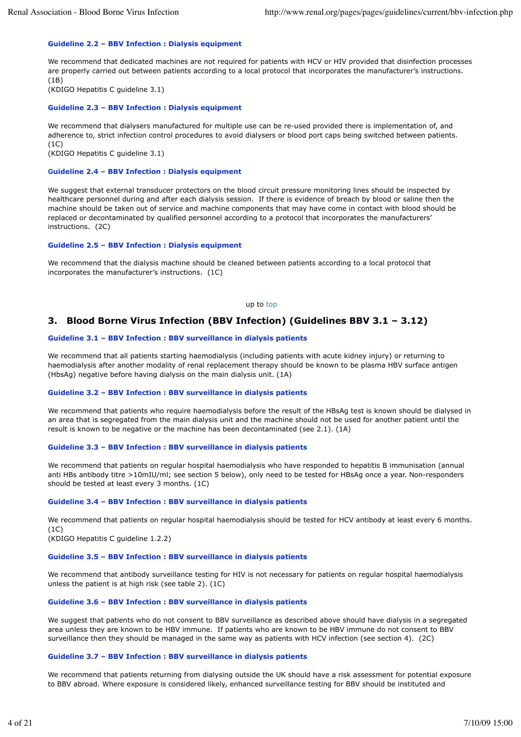## **Guideline 2.2 – BBV Infection : Dialysis equipment**

We recommend that dedicated machines are not required for patients with HCV or HIV provided that disinfection processes are properly carried out between patients according to a local protocol that incorporates the manufacturer's instructions. (1B)

(KDIGO Hepatitis C guideline 3.1)

## **Guideline 2.3 – BBV Infection : Dialysis equipment**

We recommend that dialysers manufactured for multiple use can be re-used provided there is implementation of, and adherence to, strict infection control procedures to avoid dialysers or blood port caps being switched between patients. (1C)

(KDIGO Hepatitis C guideline 3.1)

## **Guideline 2.4 – BBV Infection : Dialysis equipment**

We suggest that external transducer protectors on the blood circuit pressure monitoring lines should be inspected by healthcare personnel during and after each dialysis session. If there is evidence of breach by blood or saline then the machine should be taken out of service and machine components that may have come in contact with blood should be replaced or decontaminated by qualified personnel according to a protocol that incorporates the manufacturers' instructions. (2C)

## **Guideline 2.5 – BBV Infection : Dialysis equipment**

We recommend that the dialysis machine should be cleaned between patients according to a local protocol that incorporates the manufacturer's instructions. (1C)

#### up to top

## **3. Blood Borne Virus Infection (BBV Infection) (Guidelines BBV 3.1 – 3.12)**

## **Guideline 3.1 – BBV Infection : BBV surveillance in dialysis patients**

We recommend that all patients starting haemodialysis (including patients with acute kidney injury) or returning to haemodialysis after another modality of renal replacement therapy should be known to be plasma HBV surface antigen (HbsAg) negative before having dialysis on the main dialysis unit. (1A)

## **Guideline 3.2 – BBV Infection : BBV surveillance in dialysis patients**

We recommend that patients who require haemodialysis before the result of the HBsAg test is known should be dialysed in an area that is segregated from the main dialysis unit and the machine should not be used for another patient until the result is known to be negative or the machine has been decontaminated (see 2.1). (1A)

## **Guideline 3.3 – BBV Infection : BBV surveillance in dialysis patients**

We recommend that patients on regular hospital haemodialysis who have responded to hepatitis B immunisation (annual anti HBs antibody titre >10mIU/ml; see section 5 below), only need to be tested for HBsAg once a year. Non-responders should be tested at least every 3 months. (1C)

## **Guideline 3.4 – BBV Infection : BBV surveillance in dialysis patients**

We recommend that patients on regular hospital haemodialysis should be tested for HCV antibody at least every 6 months.  $(1C)$ 

(KDIGO Hepatitis C guideline 1.2.2)

## **Guideline 3.5 – BBV Infection : BBV surveillance in dialysis patients**

We recommend that antibody surveillance testing for HIV is not necessary for patients on regular hospital haemodialysis unless the patient is at high risk (see table 2). (1C)

## **Guideline 3.6 – BBV Infection : BBV surveillance in dialysis patients**

We suggest that patients who do not consent to BBV surveillance as described above should have dialysis in a segregated area unless they are known to be HBV immune. If patients who are known to be HBV immune do not consent to BBV surveillance then they should be managed in the same way as patients with HCV infection (see section 4). (2C)

## **Guideline 3.7 – BBV Infection : BBV surveillance in dialysis patients**

We recommend that patients returning from dialysing outside the UK should have a risk assessment for potential exposure to BBV abroad. Where exposure is considered likely, enhanced surveillance testing for BBV should be instituted and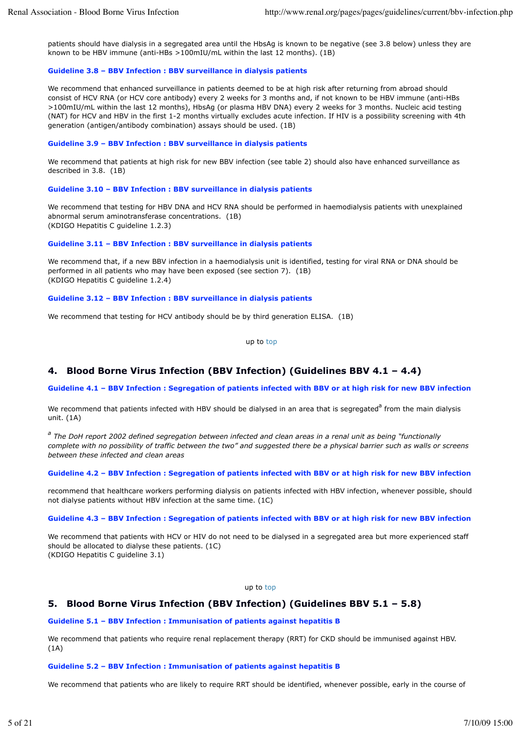patients should have dialysis in a segregated area until the HbsAg is known to be negative (see 3.8 below) unless they are known to be HBV immune (anti-HBs >100mIU/mL within the last 12 months). (1B)

## **Guideline 3.8 – BBV Infection : BBV surveillance in dialysis patients**

We recommend that enhanced surveillance in patients deemed to be at high risk after returning from abroad should consist of HCV RNA (or HCV core antibody) every 2 weeks for 3 months and, if not known to be HBV immune (anti-HBs >100mIU/mL within the last 12 months), HbsAg (or plasma HBV DNA) every 2 weeks for 3 months. Nucleic acid testing (NAT) for HCV and HBV in the first 1-2 months virtually excludes acute infection. If HIV is a possibility screening with 4th generation (antigen/antibody combination) assays should be used. (1B)

## **Guideline 3.9 – BBV Infection : BBV surveillance in dialysis patients**

We recommend that patients at high risk for new BBV infection (see table 2) should also have enhanced surveillance as described in 3.8. (1B)

## **Guideline 3.10 – BBV Infection : BBV surveillance in dialysis patients**

We recommend that testing for HBV DNA and HCV RNA should be performed in haemodialysis patients with unexplained abnormal serum aminotransferase concentrations. (1B) (KDIGO Hepatitis C guideline 1.2.3)

## **Guideline 3.11 – BBV Infection : BBV surveillance in dialysis patients**

We recommend that, if a new BBV infection in a haemodialysis unit is identified, testing for viral RNA or DNA should be performed in all patients who may have been exposed (see section 7). (1B) (KDIGO Hepatitis C guideline 1.2.4)

## **Guideline 3.12 – BBV Infection : BBV surveillance in dialysis patients**

We recommend that testing for HCV antibody should be by third generation ELISA. (1B)

up to top

# **4. Blood Borne Virus Infection (BBV Infection) (Guidelines BBV 4.1 – 4.4)**

**Guideline 4.1 – BBV Infection : Segregation of patients infected with BBV or at high risk for new BBV infection**

We recommend that patients infected with HBV should be dialysed in an area that is segregated<sup>a</sup> from the main dialysis unit. (1A)

*a The DoH report 2002 defined segregation between infected and clean areas in a renal unit as being "functionally complete with no possibility of traffic between the two" and suggested there be a physical barrier such as walls or screens between these infected and clean areas*

## **Guideline 4.2 – BBV Infection : Segregation of patients infected with BBV or at high risk for new BBV infection**

recommend that healthcare workers performing dialysis on patients infected with HBV infection, whenever possible, should not dialyse patients without HBV infection at the same time. (1C)

## **Guideline 4.3 – BBV Infection : Segregation of patients infected with BBV or at high risk for new BBV infection**

We recommend that patients with HCV or HIV do not need to be dialysed in a segregated area but more experienced staff should be allocated to dialyse these patients. (1C) (KDIGO Hepatitis C guideline 3.1)

#### up to top

# **5. Blood Borne Virus Infection (BBV Infection) (Guidelines BBV 5.1 – 5.8)**

## **Guideline 5.1 – BBV Infection : Immunisation of patients against hepatitis B**

We recommend that patients who require renal replacement therapy (RRT) for CKD should be immunised against HBV. (1A)

## **Guideline 5.2 – BBV Infection : Immunisation of patients against hepatitis B**

We recommend that patients who are likely to require RRT should be identified, whenever possible, early in the course of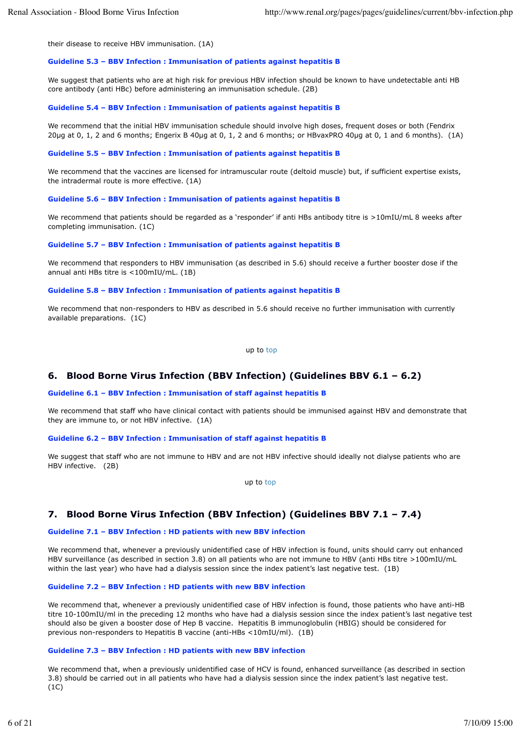their disease to receive HBV immunisation. (1A)

## **Guideline 5.3 – BBV Infection : Immunisation of patients against hepatitis B**

We suggest that patients who are at high risk for previous HBV infection should be known to have undetectable anti HB core antibody (anti HBc) before administering an immunisation schedule. (2B)

### **Guideline 5.4 – BBV Infection : Immunisation of patients against hepatitis B**

We recommend that the initial HBV immunisation schedule should involve high doses, frequent doses or both (Fendrix 20µg at 0, 1, 2 and 6 months; Engerix B 40µg at 0, 1, 2 and 6 months; or HBvaxPRO 40µg at 0, 1 and 6 months). (1A)

### **Guideline 5.5 – BBV Infection : Immunisation of patients against hepatitis B**

We recommend that the vaccines are licensed for intramuscular route (deltoid muscle) but, if sufficient expertise exists, the intradermal route is more effective. (1A)

### **Guideline 5.6 – BBV Infection : Immunisation of patients against hepatitis B**

We recommend that patients should be regarded as a 'responder' if anti HBs antibody titre is >10mIU/mL 8 weeks after completing immunisation. (1C)

**Guideline 5.7 – BBV Infection : Immunisation of patients against hepatitis B**

We recommend that responders to HBV immunisation (as described in 5.6) should receive a further booster dose if the annual anti HBs titre is <100mIU/mL. (1B)

**Guideline 5.8 – BBV Infection : Immunisation of patients against hepatitis B**

We recommend that non-responders to HBV as described in 5.6 should receive no further immunisation with currently available preparations. (1C)

up to top

## **6. Blood Borne Virus Infection (BBV Infection) (Guidelines BBV 6.1 – 6.2)**

#### **Guideline 6.1 – BBV Infection : Immunisation of staff against hepatitis B**

We recommend that staff who have clinical contact with patients should be immunised against HBV and demonstrate that they are immune to, or not HBV infective. (1A)

#### **Guideline 6.2 – BBV Infection : Immunisation of staff against hepatitis B**

We suggest that staff who are not immune to HBV and are not HBV infective should ideally not dialyse patients who are HBV infective. (2B)

up to top

## **7. Blood Borne Virus Infection (BBV Infection) (Guidelines BBV 7.1 – 7.4)**

#### **Guideline 7.1 – BBV Infection : HD patients with new BBV infection**

We recommend that, whenever a previously unidentified case of HBV infection is found, units should carry out enhanced HBV surveillance (as described in section 3.8) on all patients who are not immune to HBV (anti HBs titre >100mIU/mL within the last year) who have had a dialysis session since the index patient's last negative test. (1B)

#### **Guideline 7.2 – BBV Infection : HD patients with new BBV infection**

We recommend that, whenever a previously unidentified case of HBV infection is found, those patients who have anti-HB titre 10-100mIU/ml in the preceding 12 months who have had a dialysis session since the index patient's last negative test should also be given a booster dose of Hep B vaccine. Hepatitis B immunoglobulin (HBIG) should be considered for previous non-responders to Hepatitis B vaccine (anti-HBs <10mIU/ml). (1B)

#### **Guideline 7.3 – BBV Infection : HD patients with new BBV infection**

We recommend that, when a previously unidentified case of HCV is found, enhanced surveillance (as described in section 3.8) should be carried out in all patients who have had a dialysis session since the index patient's last negative test. (1C)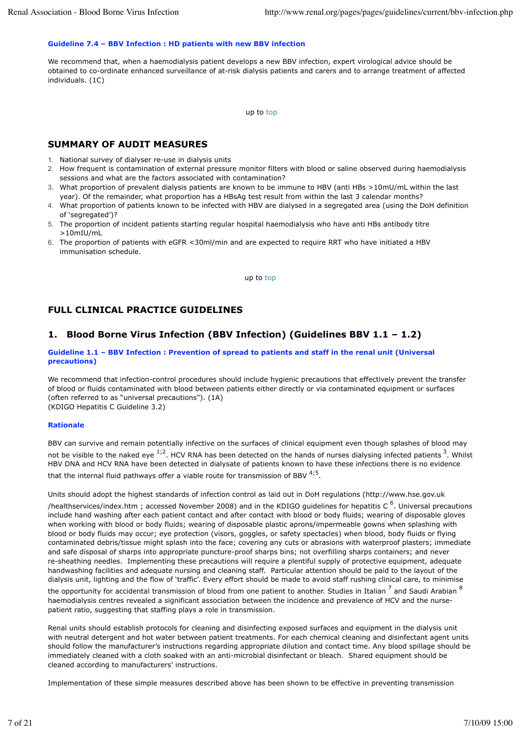### **Guideline 7.4 – BBV Infection : HD patients with new BBV infection**

We recommend that, when a haemodialysis patient develops a new BBV infection, expert virological advice should be obtained to co-ordinate enhanced surveillance of at-risk dialysis patients and carers and to arrange treatment of affected individuals. (1C)

up to top

## **SUMMARY OF AUDIT MEASURES**

- 1. National survey of dialyser re-use in dialysis units
- 2. How frequent is contamination of external pressure monitor filters with blood or saline observed during haemodialysis sessions and what are the factors associated with contamination?
- 3. What proportion of prevalent dialysis patients are known to be immune to HBV (anti HBs >10mU/mL within the last year). Of the remainder, what proportion has a HBsAg test result from within the last 3 calendar months?
- 4. What proportion of patients known to be infected with HBV are dialysed in a segregated area (using the DoH definition of 'segregated')?
- 5. The proportion of incident patients starting regular hospital haemodialysis who have anti HBs antibody titre >10mIU/mL
- 6. The proportion of patients with eGFR <30ml/min and are expected to require RRT who have initiated a HBV immunisation schedule.

up to top

## **FULL CLINICAL PRACTICE GUIDELINES**

## **1. Blood Borne Virus Infection (BBV Infection) (Guidelines BBV 1.1 – 1.2)**

## **Guideline 1.1 – BBV Infection : Prevention of spread to patients and staff in the renal unit (Universal precautions)**

We recommend that infection-control procedures should include hygienic precautions that effectively prevent the transfer of blood or fluids contaminated with blood between patients either directly or via contaminated equipment or surfaces (often referred to as "universal precautions"). (1A) (KDIGO Hepatitis C Guideline 3.2)

**Rationale**

BBV can survive and remain potentially infective on the surfaces of clinical equipment even though splashes of blood may not be visible to the naked eye  $^{1,2}$ . HCV RNA has been detected on the hands of nurses dialysing infected patients  $^3$ . Whilst HBV DNA and HCV RNA have been detected in dialysate of patients known to have these infections there is no evidence that the internal fluid pathways offer a viable route for transmission of BBV  $4,5$ .

Units should adopt the highest standards of infection control as laid out in DoH regulations (http://www.hse.gov.uk /healthservices/index.htm; accessed November 2008) and in the KDIGO guidelines for hepatitis C  $^6$ . Universal precautions include hand washing after each patient contact and after contact with blood or body fluids; wearing of disposable gloves when working with blood or body fluids; wearing of disposable plastic aprons/impermeable gowns when splashing with blood or body fluids may occur; eye protection (visors, goggles, or safety spectacles) when blood, body fluids or flying contaminated debris/tissue might splash into the face; covering any cuts or abrasions with waterproof plasters; immediate and safe disposal of sharps into appropriate puncture-proof sharps bins; not overfilling sharps containers; and never re-sheathing needles. Implementing these precautions will require a plentiful supply of protective equipment, adequate handwashing facilities and adequate nursing and cleaning staff. Particular attention should be paid to the layout of the dialysis unit, lighting and the flow of 'traffic'. Every effort should be made to avoid staff rushing clinical care, to minimise

the opportunity for accidental transmission of blood from one patient to another. Studies in Italian <sup>7</sup> and Saudi Arabian <sup>8</sup> haemodialysis centres revealed a significant association between the incidence and prevalence of HCV and the nursepatient ratio, suggesting that staffing plays a role in transmission.

Renal units should establish protocols for cleaning and disinfecting exposed surfaces and equipment in the dialysis unit with neutral detergent and hot water between patient treatments. For each chemical cleaning and disinfectant agent units should follow the manufacturer's instructions regarding appropriate dilution and contact time. Any blood spillage should be immediately cleaned with a cloth soaked with an anti-microbial disinfectant or bleach. Shared equipment should be cleaned according to manufacturers' instructions.

Implementation of these simple measures described above has been shown to be effective in preventing transmission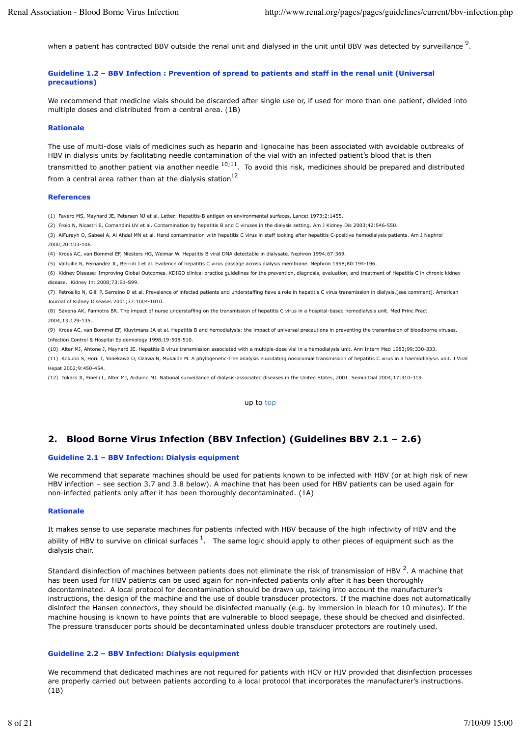when a patient has contracted BBV outside the renal unit and dialysed in the unit until BBV was detected by surveillance  $9$ .

## **Guideline 1.2 – BBV Infection : Prevention of spread to patients and staff in the renal unit (Universal precautions)**

We recommend that medicine vials should be discarded after single use or, if used for more than one patient, divided into multiple doses and distributed from a central area. (1B)

### **Rationale**

The use of multi-dose vials of medicines such as heparin and lignocaine has been associated with avoidable outbreaks of HBV in dialysis units by facilitating needle contamination of the vial with an infected patient's blood that is then transmitted to another patient via another needle  $^{10;11}$ . To avoid this risk, medicines should be prepared and distributed from a central area rather than at the dialysis station $^{12}$ 

#### **References**

(1) Favero MS, Maynard JE, Petersen NJ et al. Letter: Hepatitis-B antigen on environmental surfaces. Lancet 1973;2:1455.

- (2) Froio N, Nicastri E, Comandini UV et al. Contamination by hepatitis B and C viruses in the dialysis setting. Am J Kidney Dis 2003;42:546-550.
- (3) AlFurayh O, Sabeel A, Al Ahdal MN et al. Hand contamination with hepatitis C virus in staff looking after hepatitis C-positive hemodialysis patients. Am J Nephrol 2000;20:103-106.

(4) Kroes AC, van Bommel EF, Niesters HG, Weimar W. Hepatitis B viral DNA detectable in dialysate. Nephron 1994;67:369.

(5) Valtuille R, Fernandez JL, Berridi J et al. Evidence of hepatitis C virus passage across dialysis membrane. Nephron 1998;80:194-196.

(6) Kidney Disease: Improving Global Outcomes. KDIGO clinical practice guidelines for the prevention, diagnosis, evaluation, and treatment of Hepatitis C in chronic kidney disease. Kidney Int 2008;73:S1-S99.

(7) Petrosillo N, Gilli P, Serraino D et al. Prevalence of infected patients and understaffing have a role in hepatitis C virus transmission in dialysis.[see comment]. American Journal of Kidney Diseases 2001;37:1004-1010.

(8) Saxena AK, Panhotra BR. The impact of nurse understaffing on the transmission of hepatitis C virus in a hospital-based hemodialysis unit. Med Princ Pract 2004;13:129-135.

(9) Kroes AC, van Bommel EF, Kluytmans JA et al. Hepatitis B and hemodialysis: the impact of universal precautions in preventing the transmission of bloodborne viruses. Infection Control & Hospital Epidemiology 1998;19:508-510.

(10) Alter MJ, Ahtone J, Maynard JE. Hepatitis B virus transmission associated with a multiple-dose vial in a hemodialysis unit. Ann Intern Med 1983;99:330-333.

(11) Kokubo S, Horii T, Yonekawa O, Ozawa N, Mukaide M. A phylogenetic-tree analysis elucidating nosocomial transmission of hepatitis C virus in a haemodialysis unit. J Viral Hepat 2002;9:450-454.

(12) Tokars JI, Finelli L, Alter MJ, Arduino MJ. National surveillance of dialysis-associated diseases in the United States, 2001. Semin Dial 2004;17:310-319.

#### up to top

## **2. Blood Borne Virus Infection (BBV Infection) (Guidelines BBV 2.1 – 2.6)**

### **Guideline 2.1 – BBV Infection: Dialysis equipment**

We recommend that separate machines should be used for patients known to be infected with HBV (or at high risk of new HBV infection – see section 3.7 and 3.8 below). A machine that has been used for HBV patients can be used again for non-infected patients only after it has been thoroughly decontaminated. (1A)

### **Rationale**

It makes sense to use separate machines for patients infected with HBV because of the high infectivity of HBV and the ability of HBV to survive on clinical surfaces  $1$ . The same logic should apply to other pieces of equipment such as the dialysis chair.

Standard disinfection of machines between patients does not eliminate the risk of transmission of HBV  $^2$ . A machine that has been used for HBV patients can be used again for non-infected patients only after it has been thoroughly decontaminated. A local protocol for decontamination should be drawn up, taking into account the manufacturer's instructions, the design of the machine and the use of double transducer protectors. If the machine does not automatically disinfect the Hansen connectors, they should be disinfected manually (e.g. by immersion in bleach for 10 minutes). If the machine housing is known to have points that are vulnerable to blood seepage, these should be checked and disinfected. The pressure transducer ports should be decontaminated unless double transducer protectors are routinely used.

## **Guideline 2.2 – BBV Infection: Dialysis equipment**

We recommend that dedicated machines are not required for patients with HCV or HIV provided that disinfection processes are properly carried out between patients according to a local protocol that incorporates the manufacturer's instructions. (1B)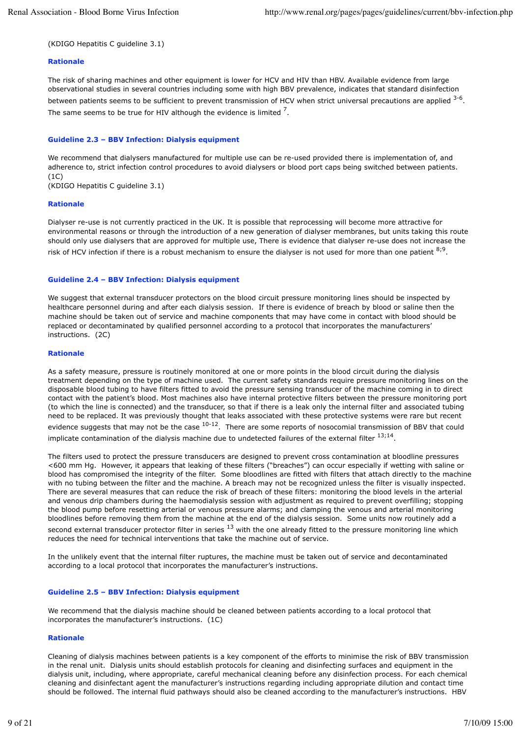(KDIGO Hepatitis C guideline 3.1)

## **Rationale**

The risk of sharing machines and other equipment is lower for HCV and HIV than HBV. Available evidence from large observational studies in several countries including some with high BBV prevalence, indicates that standard disinfection between patients seems to be sufficient to prevent transmission of HCV when strict universal precautions are applied 3-6. The same seems to be true for HIV although the evidence is limited  $^7$ .

### **Guideline 2.3 – BBV Infection: Dialysis equipment**

We recommend that dialysers manufactured for multiple use can be re-used provided there is implementation of, and adherence to, strict infection control procedures to avoid dialysers or blood port caps being switched between patients. (1C)

(KDIGO Hepatitis C guideline 3.1)

### **Rationale**

Dialyser re-use is not currently practiced in the UK. It is possible that reprocessing will become more attractive for environmental reasons or through the introduction of a new generation of dialyser membranes, but units taking this route should only use dialysers that are approved for multiple use, There is evidence that dialyser re-use does not increase the risk of HCV infection if there is a robust mechanism to ensure the dialyser is not used for more than one patient  $8,9$ .

### **Guideline 2.4 – BBV Infection: Dialysis equipment**

We suggest that external transducer protectors on the blood circuit pressure monitoring lines should be inspected by healthcare personnel during and after each dialysis session. If there is evidence of breach by blood or saline then the machine should be taken out of service and machine components that may have come in contact with blood should be replaced or decontaminated by qualified personnel according to a protocol that incorporates the manufacturers' instructions. (2C)

### **Rationale**

As a safety measure, pressure is routinely monitored at one or more points in the blood circuit during the dialysis treatment depending on the type of machine used. The current safety standards require pressure monitoring lines on the disposable blood tubing to have filters fitted to avoid the pressure sensing transducer of the machine coming in to direct contact with the patient's blood. Most machines also have internal protective filters between the pressure monitoring port (to which the line is connected) and the transducer, so that if there is a leak only the internal filter and associated tubing need to be replaced. It was previously thought that leaks associated with these protective systems were rare but recent evidence suggests that may not be the case  $10^{-12}$ . There are some reports of nosocomial transmission of BBV that could implicate contamination of the dialysis machine due to undetected failures of the external filter 13;14.

The filters used to protect the pressure transducers are designed to prevent cross contamination at bloodline pressures <600 mm Hg. However, it appears that leaking of these filters ("breaches") can occur especially if wetting with saline or blood has compromised the integrity of the filter. Some bloodlines are fitted with filters that attach directly to the machine with no tubing between the filter and the machine. A breach may not be recognized unless the filter is visually inspected. There are several measures that can reduce the risk of breach of these filters: monitoring the blood levels in the arterial and venous drip chambers during the haemodialysis session with adjustment as required to prevent overfilling; stopping the blood pump before resetting arterial or venous pressure alarms; and clamping the venous and arterial monitoring bloodlines before removing them from the machine at the end of the dialysis session. Some units now routinely add a second external transducer protector filter in series  $^{13}$  with the one already fitted to the pressure monitoring line which reduces the need for technical interventions that take the machine out of service.

In the unlikely event that the internal filter ruptures, the machine must be taken out of service and decontaminated according to a local protocol that incorporates the manufacturer's instructions.

#### **Guideline 2.5 – BBV Infection: Dialysis equipment**

We recommend that the dialysis machine should be cleaned between patients according to a local protocol that incorporates the manufacturer's instructions. (1C)

## **Rationale**

Cleaning of dialysis machines between patients is a key component of the efforts to minimise the risk of BBV transmission in the renal unit. Dialysis units should establish protocols for cleaning and disinfecting surfaces and equipment in the dialysis unit, including, where appropriate, careful mechanical cleaning before any disinfection process. For each chemical cleaning and disinfectant agent the manufacturer's instructions regarding including appropriate dilution and contact time should be followed. The internal fluid pathways should also be cleaned according to the manufacturer's instructions. HBV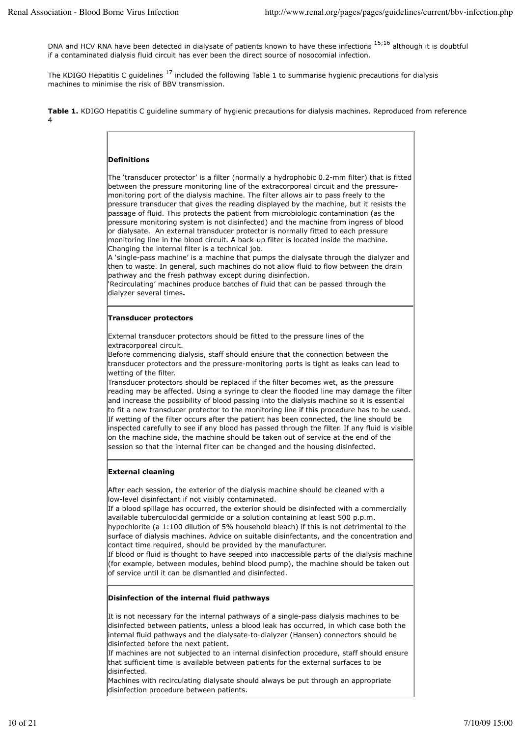DNA and HCV RNA have been detected in dialysate of patients known to have these infections  $^{15,16}$  although it is doubtful if a contaminated dialysis fluid circuit has ever been the direct source of nosocomial infection.

The KDIGO Hepatitis C guidelines <sup>17</sup> included the following Table 1 to summarise hygienic precautions for dialysis machines to minimise the risk of BBV transmission.

**Table 1.** KDIGO Hepatitis C guideline summary of hygienic precautions for dialysis machines. Reproduced from reference 4

## **Definitions**

The 'transducer protector' is a filter (normally a hydrophobic 0.2-mm filter) that is fitted between the pressure monitoring line of the extracorporeal circuit and the pressuremonitoring port of the dialysis machine. The filter allows air to pass freely to the pressure transducer that gives the reading displayed by the machine, but it resists the passage of fluid. This protects the patient from microbiologic contamination (as the pressure monitoring system is not disinfected) and the machine from ingress of blood or dialysate. An external transducer protector is normally fitted to each pressure monitoring line in the blood circuit. A back-up filter is located inside the machine. Changing the internal filter is a technical job.

A 'single-pass machine' is a machine that pumps the dialysate through the dialyzer and then to waste. In general, such machines do not allow fluid to flow between the drain pathway and the fresh pathway except during disinfection.

'Recirculating' machines produce batches of fluid that can be passed through the dialyzer several times**.**

## **Transducer protectors**

External transducer protectors should be fitted to the pressure lines of the extracorporeal circuit.

Before commencing dialysis, staff should ensure that the connection between the transducer protectors and the pressure-monitoring ports is tight as leaks can lead to wetting of the filter.

Transducer protectors should be replaced if the filter becomes wet, as the pressure reading may be affected. Using a syringe to clear the flooded line may damage the filter and increase the possibility of blood passing into the dialysis machine so it is essential to fit a new transducer protector to the monitoring line if this procedure has to be used. If wetting of the filter occurs after the patient has been connected, the line should be inspected carefully to see if any blood has passed through the filter. If any fluid is visible on the machine side, the machine should be taken out of service at the end of the session so that the internal filter can be changed and the housing disinfected.

## **External cleaning**

After each session, the exterior of the dialysis machine should be cleaned with a low-level disinfectant if not visibly contaminated.

If a blood spillage has occurred, the exterior should be disinfected with a commercially available tuberculocidal germicide or a solution containing at least 500 p.p.m.

hypochlorite (a 1:100 dilution of 5% household bleach) if this is not detrimental to the surface of dialysis machines. Advice on suitable disinfectants, and the concentration and contact time required, should be provided by the manufacturer.

If blood or fluid is thought to have seeped into inaccessible parts of the dialysis machine (for example, between modules, behind blood pump), the machine should be taken out of service until it can be dismantled and disinfected.

## **Disinfection of the internal fluid pathways**

It is not necessary for the internal pathways of a single-pass dialysis machines to be disinfected between patients, unless a blood leak has occurred, in which case both the internal fluid pathways and the dialysate-to-dialyzer (Hansen) connectors should be disinfected before the next patient.

If machines are not subjected to an internal disinfection procedure, staff should ensure that sufficient time is available between patients for the external surfaces to be disinfected.

Machines with recirculating dialysate should always be put through an appropriate disinfection procedure between patients.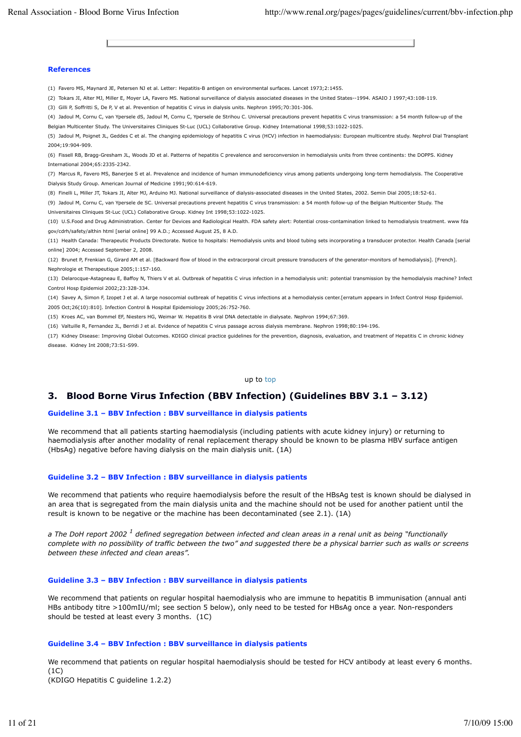#### **References**

- (1) Favero MS, Maynard JE, Petersen NJ et al. Letter: Hepatitis-B antigen on environmental surfaces. Lancet 1973;2:1455.
- (2) Tokars JI, Alter MJ, Miller E, Moyer LA, Favero MS. National surveillance of dialysis associated diseases in the United States--1994. ASAIO J 1997;43:108-119.

(3) Gilli P, Soffritti S, De P, V et al. Prevention of hepatitis C virus in dialysis units. Nephron 1995;70:301-306.

(4) Jadoul M, Cornu C, van Ypersele dS, Jadoul M, Cornu C, Ypersele de Strihou C. Universal precautions prevent hepatitis C virus transmission: a 54 month follow-up of the Belgian Multicenter Study. The Universitaires Cliniques St-Luc (UCL) Collaborative Group. Kidney International 1998;53:1022-1025.

(5) Jadoul M, Poignet JL, Geddes C et al. The changing epidemiology of hepatitis C virus (HCV) infection in haemodialysis: European multicentre study. Nephrol Dial Transplant 2004;19:904-909.

(6) Fissell RB, Bragg-Gresham JL, Woods JD et al. Patterns of hepatitis C prevalence and seroconversion in hemodialysis units from three continents: the DOPPS. Kidney International 2004;65:2335-2342.

(7) Marcus R, Favero MS, Banerjee S et al. Prevalence and incidence of human immunodeficiency virus among patients undergoing long-term hemodialysis. The Cooperative Dialysis Study Group. American Journal of Medicine 1991;90:614-619.

(8) Finelli L, Miller JT, Tokars JI, Alter MJ, Arduino MJ. National surveillance of dialysis-associated diseases in the United States, 2002. Semin Dial 2005;18:52-61.

(9) Jadoul M, Cornu C, van Ypersele de SC. Universal precautions prevent hepatitis C virus transmission: a 54 month follow-up of the Belgian Multicenter Study. The Universitaires Cliniques St-Luc (UCL) Collaborative Group. Kidney Int 1998;53:1022-1025.

(10) U.S.Food and Drug Administration. Center for Devices and Radiological Health. FDA safety alert: Potential cross-contamination linked to hemodialysis treatment. www fda gov/cdrh/safety/althin html [serial online] 99 A.D.; Accessed August 25, 8 A.D.

(11) Health Canada: Therapeutic Products Directorate. Notice to hospitals: Hemodialysis units and blood tubing sets incorporating a transducer protector. Health Canada [serial online] 2004; Accessed September 2, 2008.

(12) Brunet P, Frenkian G, Girard AM et al. [Backward flow of blood in the extracorporal circuit pressure transducers of the generator-monitors of hemodialysis]. [French]. Nephrologie et Therapeutique 2005;1:157-160.

(13) Delarocque-Astagneau E, Baffoy N, Thiers V et al. Outbreak of hepatitis C virus infection in a hemodialysis unit: potential transmission by the hemodialysis machine? Infect Control Hosp Epidemiol 2002;23:328-334.

(14) Savey A, Simon F, Izopet J et al. A large nosocomial outbreak of hepatitis C virus infections at a hemodialysis center.[erratum appears in Infect Control Hosp Epidemiol. 2005 Oct;26(10):810]. Infection Control & Hospital Epidemiology 2005;26:752-760.

(15) Kroes AC, van Bommel EF, Niesters HG, Weimar W. Hepatitis B viral DNA detectable in dialysate. Nephron 1994;67:369.

(16) Valtuille R, Fernandez JL, Berridi J et al. Evidence of hepatitis C virus passage across dialysis membrane. Nephron 1998;80:194-196.

(17) Kidney Disease: Improving Global Outcomes. KDIGO clinical practice guidelines for the prevention, diagnosis, evaluation, and treatment of Hepatitis C in chronic kidney disease. Kidney Int 2008;73:S1-S99.

#### up to top

## **3. Blood Borne Virus Infection (BBV Infection) (Guidelines BBV 3.1 – 3.12)**

#### **Guideline 3.1 – BBV Infection : BBV surveillance in dialysis patients**

We recommend that all patients starting haemodialysis (including patients with acute kidney injury) or returning to haemodialysis after another modality of renal replacement therapy should be known to be plasma HBV surface antigen (HbsAg) negative before having dialysis on the main dialysis unit. (1A)

### **Guideline 3.2 – BBV Infection : BBV surveillance in dialysis patients**

We recommend that patients who require haemodialysis before the result of the HBsAg test is known should be dialysed in an area that is segregated from the main dialysis unita and the machine should not be used for another patient until the result is known to be negative or the machine has been decontaminated (see 2.1). (1A)

*a The DoH report 2002 1 defined segregation between infected and clean areas in a renal unit as being "functionally complete with no possibility of traffic between the two" and suggested there be a physical barrier such as walls or screens between these infected and clean areas".*

#### **Guideline 3.3 – BBV Infection : BBV surveillance in dialysis patients**

We recommend that patients on regular hospital haemodialysis who are immune to hepatitis B immunisation (annual anti HBs antibody titre >100mIU/ml; see section 5 below), only need to be tested for HBsAg once a year. Non-responders should be tested at least every 3 months. (1C)

#### **Guideline 3.4 – BBV Infection : BBV surveillance in dialysis patients**

We recommend that patients on regular hospital haemodialysis should be tested for HCV antibody at least every 6 months. (1C)

(KDIGO Hepatitis C guideline 1.2.2)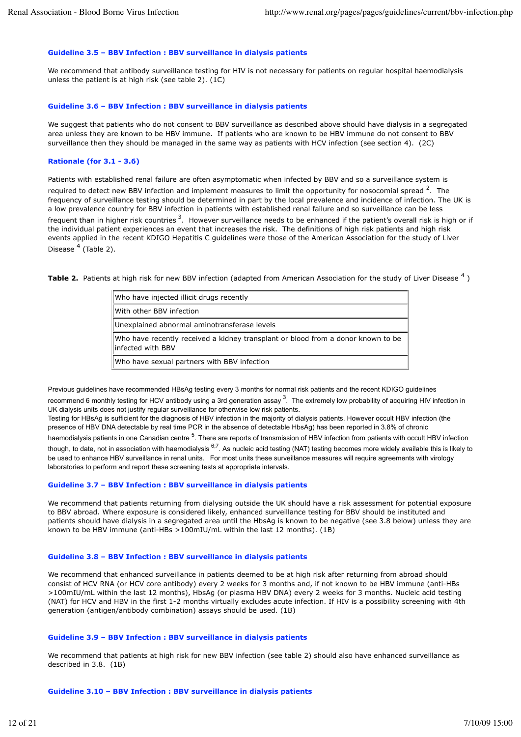## **Guideline 3.5 – BBV Infection : BBV surveillance in dialysis patients**

We recommend that antibody surveillance testing for HIV is not necessary for patients on regular hospital haemodialysis unless the patient is at high risk (see table 2). (1C)

#### **Guideline 3.6 – BBV Infection : BBV surveillance in dialysis patients**

We suggest that patients who do not consent to BBV surveillance as described above should have dialysis in a segregated area unless they are known to be HBV immune. If patients who are known to be HBV immune do not consent to BBV surveillance then they should be managed in the same way as patients with HCV infection (see section 4). (2C)

## **Rationale (for 3.1 - 3.6)**

Patients with established renal failure are often asymptomatic when infected by BBV and so a surveillance system is required to detect new BBV infection and implement measures to limit the opportunity for nosocomial spread  $^2$ . The frequency of surveillance testing should be determined in part by the local prevalence and incidence of infection. The UK is a low prevalence country for BBV infection in patients with established renal failure and so surveillance can be less frequent than in higher risk countries<sup>3</sup>. However surveillance needs to be enhanced if the patient's overall risk is high or if the individual patient experiences an event that increases the risk. The definitions of high risk patients and high risk events applied in the recent KDIGO Hepatitis C guidelines were those of the American Association for the study of Liver Disease <sup>4</sup> (Table 2).

Table 2. Patients at high risk for new BBV infection (adapted from American Association for the study of Liver Disease <sup>4</sup>)

| Who have injected illicit drugs recently                                                               |  |
|--------------------------------------------------------------------------------------------------------|--|
| With other BBV infection                                                                               |  |
| Unexplained abnormal aminotransferase levels                                                           |  |
| Who have recently received a kidney transplant or blood from a donor known to be<br>linfected with BBV |  |
| Who have sexual partners with BBV infection                                                            |  |

Previous guidelines have recommended HBsAg testing every 3 months for normal risk patients and the recent KDIGO guidelines recommend 6 monthly testing for HCV antibody using a 3rd generation assay  $3$ . The extremely low probability of acquiring HIV infection in UK dialysis units does not justify regular surveillance for otherwise low risk patients.

Testing for HBsAg is sufficient for the diagnosis of HBV infection in the majority of dialysis patients. However occult HBV infection (the presence of HBV DNA detectable by real time PCR in the absence of detectable HbsAg) has been reported in 3.8% of chronic haemodialysis patients in one Canadian centre <sup>5</sup>. There are reports of transmission of HBV infection from patients with occult HBV infection though, to date, not in association with haemodialysis <sup>6;7</sup>. As nucleic acid testing (NAT) testing becomes more widely available this is likely to be used to enhance HBV surveillance in renal units. For most units these surveillance measures will require agreements with virology laboratories to perform and report these screening tests at appropriate intervals.

### **Guideline 3.7 – BBV Infection : BBV surveillance in dialysis patients**

We recommend that patients returning from dialysing outside the UK should have a risk assessment for potential exposure to BBV abroad. Where exposure is considered likely, enhanced surveillance testing for BBV should be instituted and patients should have dialysis in a segregated area until the HbsAg is known to be negative (see 3.8 below) unless they are known to be HBV immune (anti-HBs >100mIU/mL within the last 12 months). (1B)

#### **Guideline 3.8 – BBV Infection : BBV surveillance in dialysis patients**

We recommend that enhanced surveillance in patients deemed to be at high risk after returning from abroad should consist of HCV RNA (or HCV core antibody) every 2 weeks for 3 months and, if not known to be HBV immune (anti-HBs >100mIU/mL within the last 12 months), HbsAg (or plasma HBV DNA) every 2 weeks for 3 months. Nucleic acid testing (NAT) for HCV and HBV in the first 1-2 months virtually excludes acute infection. If HIV is a possibility screening with 4th generation (antigen/antibody combination) assays should be used. (1B)

#### **Guideline 3.9 – BBV Infection : BBV surveillance in dialysis patients**

We recommend that patients at high risk for new BBV infection (see table 2) should also have enhanced surveillance as described in 3.8. (1B)

**Guideline 3.10 – BBV Infection : BBV surveillance in dialysis patients**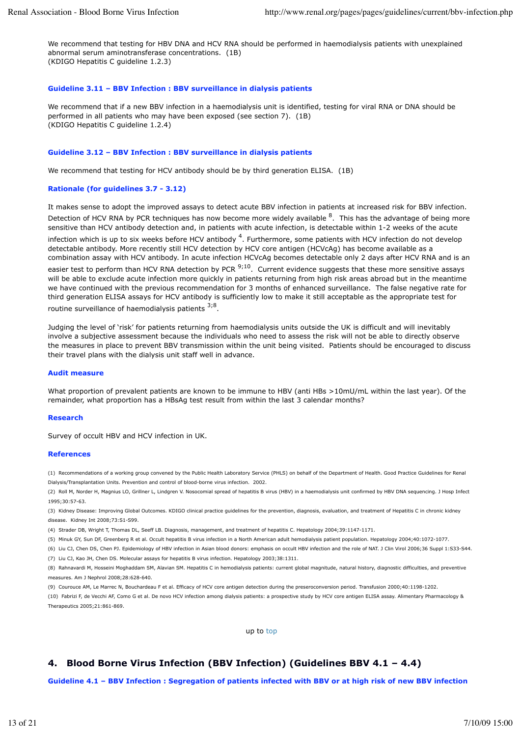We recommend that testing for HBV DNA and HCV RNA should be performed in haemodialysis patients with unexplained abnormal serum aminotransferase concentrations. (1B) (KDIGO Hepatitis C guideline 1.2.3)

### **Guideline 3.11 – BBV Infection : BBV surveillance in dialysis patients**

We recommend that if a new BBV infection in a haemodialysis unit is identified, testing for viral RNA or DNA should be performed in all patients who may have been exposed (see section 7). (1B) (KDIGO Hepatitis C guideline 1.2.4)

### **Guideline 3.12 – BBV Infection : BBV surveillance in dialysis patients**

We recommend that testing for HCV antibody should be by third generation ELISA. (1B)

### **Rationale (for guidelines 3.7 - 3.12)**

It makes sense to adopt the improved assays to detect acute BBV infection in patients at increased risk for BBV infection. Detection of HCV RNA by PCR techniques has now become more widely available <sup>8</sup>. This has the advantage of being more sensitive than HCV antibody detection and, in patients with acute infection, is detectable within 1-2 weeks of the acute infection which is up to six weeks before HCV antibody <sup>4</sup>. Furthermore, some patients with HCV infection do not develop detectable antibody. More recently still HCV detection by HCV core antigen (HCVcAg) has become available as a combination assay with HCV antibody. In acute infection HCVcAg becomes detectable only 2 days after HCV RNA and is an easier test to perform than HCV RNA detection by PCR  $9,10$ . Current evidence suggests that these more sensitive assays will be able to exclude acute infection more quickly in patients returning from high risk areas abroad but in the meantime we have continued with the previous recommendation for 3 months of enhanced surveillance. The false negative rate for third generation ELISA assays for HCV antibody is sufficiently low to make it still acceptable as the appropriate test for routine surveillance of haemodialysis patients  $3,8$ .

Judging the level of 'risk' for patients returning from haemodialysis units outside the UK is difficult and will inevitably involve a subjective assessment because the individuals who need to assess the risk will not be able to directly observe the measures in place to prevent BBV transmission within the unit being visited. Patients should be encouraged to discuss their travel plans with the dialysis unit staff well in advance.

#### **Audit measure**

What proportion of prevalent patients are known to be immune to HBV (anti HBs >10mU/mL within the last year). Of the remainder, what proportion has a HBsAg test result from within the last 3 calendar months?

### **Research**

Survey of occult HBV and HCV infection in UK.

#### **References**

(1) Recommendations of a working group convened by the Public Health Laboratory Service (PHLS) on behalf of the Department of Health. Good Practice Guidelines for Renal Dialysis/Transplantation Units. Prevention and control of blood-borne virus infection. 2002.

(2) Roll M, Norder H, Magnius LO, Grillner L, Lindgren V. Nosocomial spread of hepatitis B virus (HBV) in a haemodialysis unit confirmed by HBV DNA sequencing. J Hosp Infect 1995;30:57-63.

(3) Kidney Disease: Improving Global Outcomes. KDIGO clinical practice guidelines for the prevention, diagnosis, evaluation, and treatment of Hepatitis C in chronic kidney disease. Kidney Int 2008;73:S1-S99.

(4) Strader DB, Wright T, Thomas DL, Seeff LB. Diagnosis, management, and treatment of hepatitis C. Hepatology 2004;39:1147-1171.

(5) Minuk GY, Sun DF, Greenberg R et al. Occult hepatitis B virus infection in a North American adult hemodialysis patient population. Hepatology 2004;40:1072-1077.

(6) Liu CJ, Chen DS, Chen PJ. Epidemiology of HBV infection in Asian blood donors: emphasis on occult HBV infection and the role of NAT. J Clin Virol 2006;36 Suppl 1:S33-S44.

(7) Liu CJ, Kao JH, Chen DS. Molecular assays for hepatitis B virus infection. Hepatology 2003;38:1311.

(8) Rahnavardi M, Hosseini Moghaddam SM, Alavian SM. Hepatitis C in hemodialysis patients: current global magnitude, natural history, diagnostic difficulties, and preventive measures. Am J Nephrol 2008;28:628-640.

(9) Courouce AM, Le Marrec N, Bouchardeau F et al. Efficacy of HCV core antigen detection during the preseroconversion period. Transfusion 2000;40:1198-1202.

(10) Fabrizi F, de Vecchi AF, Como G et al. De novo HCV infection among dialysis patients: a prospective study by HCV core antigen ELISA assay. Alimentary Pharmacology & Therapeutics 2005;21:861-869.

up to top

## **4. Blood Borne Virus Infection (BBV Infection) (Guidelines BBV 4.1 – 4.4)**

**Guideline 4.1 – BBV Infection : Segregation of patients infected with BBV or at high risk of new BBV infection**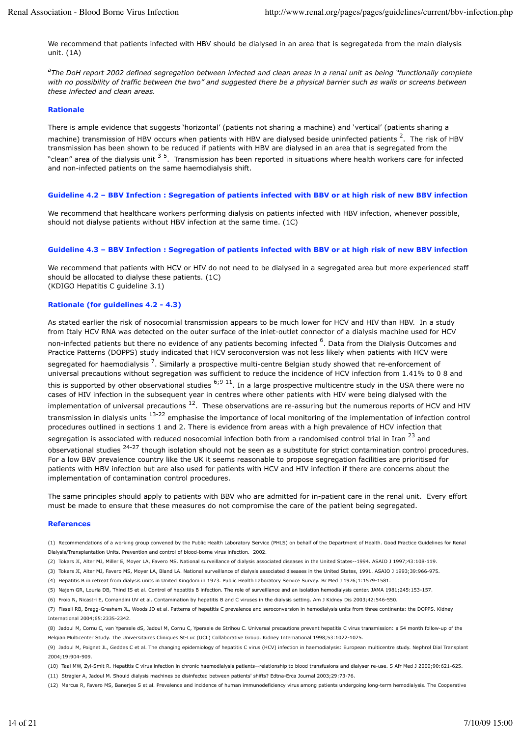We recommend that patients infected with HBV should be dialysed in an area that is segregateda from the main dialysis unit. (1A)

*a The DoH report 2002 defined segregation between infected and clean areas in a renal unit as being "functionally complete with no possibility of traffic between the two" and suggested there be a physical barrier such as walls or screens between these infected and clean areas.*

### **Rationale**

There is ample evidence that suggests 'horizontal' (patients not sharing a machine) and 'vertical' (patients sharing a machine) transmission of HBV occurs when patients with HBV are dialysed beside uninfected patients  $^2$ . The risk of HBV transmission has been shown to be reduced if patients with HBV are dialysed in an area that is segregated from the "clean" area of the dialysis unit <sup>3-5</sup>. Transmission has been reported in situations where health workers care for infected and non-infected patients on the same haemodialysis shift.

### **Guideline 4.2 – BBV Infection : Segregation of patients infected with BBV or at high risk of new BBV infection**

We recommend that healthcare workers performing dialysis on patients infected with HBV infection, whenever possible, should not dialyse patients without HBV infection at the same time. (1C)

#### **Guideline 4.3 – BBV Infection : Segregation of patients infected with BBV or at high risk of new BBV infection**

We recommend that patients with HCV or HIV do not need to be dialysed in a segregated area but more experienced staff should be allocated to dialyse these patients. (1C) (KDIGO Hepatitis C guideline 3.1)

### **Rationale (for guidelines 4.2 - 4.3)**

As stated earlier the risk of nosocomial transmission appears to be much lower for HCV and HIV than HBV. In a study from Italy HCV RNA was detected on the outer surface of the inlet-outlet connector of a dialysis machine used for HCV non-infected patients but there no evidence of any patients becoming infected <sup>6</sup>. Data from the Dialysis Outcomes and Practice Patterns (DOPPS) study indicated that HCV seroconversion was not less likely when patients with HCV were segregated for haemodialysis <sup>7</sup>. Similarly a prospective multi-centre Belgian study showed that re-enforcement of universal precautions without segregation was sufficient to reduce the incidence of HCV infection from 1.41% to 0 8 and this is supported by other observational studies  $6;9-11$ . In a large prospective multicentre study in the USA there were no cases of HIV infection in the subsequent year in centres where other patients with HIV were being dialysed with the implementation of universal precautions  $^{12}$ . These observations are re-assuring but the numerous reports of HCV and HIV transmission in dialysis units 13-22 emphasise the importance of local monitoring of the implementation of infection control procedures outlined in sections 1 and 2. There is evidence from areas with a high prevalence of HCV infection that segregation is associated with reduced nosocomial infection both from a randomised control trial in Iran <sup>23</sup> and observational studies <sup>24-27</sup> though isolation should not be seen as a substitute for strict contamination control procedures. For a low BBV prevalence country like the UK it seems reasonable to propose segregation facilities are prioritised for patients with HBV infection but are also used for patients with HCV and HIV infection if there are concerns about the implementation of contamination control procedures.

The same principles should apply to patients with BBV who are admitted for in-patient care in the renal unit. Every effort must be made to ensure that these measures do not compromise the care of the patient being segregated.

#### **References**

- (1) Recommendations of a working group convened by the Public Health Laboratory Service (PHLS) on behalf of the Department of Health. Good Practice Guidelines for Renal Dialysis/Transplantation Units. Prevention and control of blood-borne virus infection. 2002.
- (2) Tokars JI, Alter MJ, Miller E, Moyer LA, Favero MS. National surveillance of dialysis associated diseases in the United States--1994. ASAIO J 1997;43:108-119.
- (3) Tokars JI, Alter MJ, Favero MS, Moyer LA, Bland LA. National surveillance of dialysis associated diseases in the United States, 1991. ASAIO J 1993;39:966-975.
- (4) Hepatitis B in retreat from dialysis units in United Kingdom in 1973. Public Health Laboratory Service Survey. Br Med J 1976;1:1579-1581.
- (5) Najem GR, Louria DB, Thind IS et al. Control of hepatitis B infection. The role of surveillance and an isolation hemodialysis center. JAMA 1981;245:153-157.

(6) Froio N, Nicastri E, Comandini UV et al. Contamination by hepatitis B and C viruses in the dialysis setting. Am J Kidney Dis 2003;42:546-550.

(7) Fissell RB, Bragg-Gresham JL, Woods JD et al. Patterns of hepatitis C prevalence and seroconversion in hemodialysis units from three continents: the DOPPS. Kidney International 2004;65:2335-2342.

(8) Jadoul M, Cornu C, van Ypersele dS, Jadoul M, Cornu C, Ypersele de Strihou C. Universal precautions prevent hepatitis C virus transmission: a 54 month follow-up of the Belgian Multicenter Study. The Universitaires Cliniques St-Luc (UCL) Collaborative Group. Kidney International 1998;53:1022-1025.

(9) Jadoul M, Poignet JL, Geddes C et al. The changing epidemiology of hepatitis C virus (HCV) infection in haemodialysis: European multicentre study. Nephrol Dial Transplant 2004;19:904-909.

(10) Taal MW, Zyl-Smit R. Hepatitis C virus infection in chronic haemodialysis patients--relationship to blood transfusions and dialyser re-use. S Afr Med J 2000;90:621-625.

(11) Stragier A, Jadoul M. Should dialysis machines be disinfected between patients' shifts? Edtna-Erca Journal 2003;29:73-76.

(12) Marcus R, Favero MS, Banerjee S et al. Prevalence and incidence of human immunodeficiency virus among patients undergoing long-term hemodialysis. The Cooperative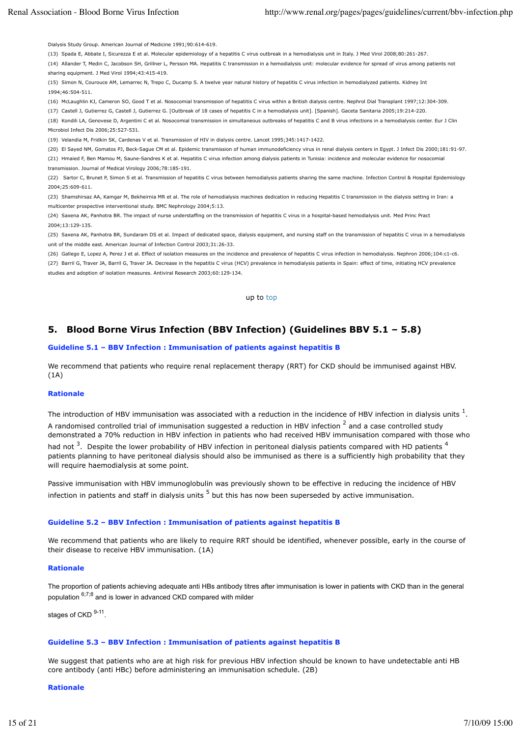Dialysis Study Group. American Journal of Medicine 1991;90:614-619.

(13) Spada E, Abbate I, Sicurezza E et al. Molecular epidemiology of a hepatitis C virus outbreak in a hemodialysis unit in Italy. J Med Virol 2008;80:261-267.

(14) Allander T, Medin C, Jacobson SH, Grillner L, Persson MA. Hepatitis C transmission in a hemodialysis unit: molecular evidence for spread of virus among patients not sharing equipment. J Med Virol 1994;43:415-419.

(15) Simon N, Courouce AM, Lemarrec N, Trepo C, Ducamp S. A twelve year natural history of hepatitis C virus infection in hemodialyzed patients. Kidney Int 1994;46:504-511.

(16) McLaughlin KJ, Cameron SO, Good T et al. Nosocomial transmission of hepatitis C virus within a British dialysis centre. Nephrol Dial Transplant 1997;12:304-309.

(17) Castell J, Gutierrez G, Castell J, Gutierrez G. [Outbreak of 18 cases of hepatitis C in a hemodialysis unit]. [Spanish]. Gaceta Sanitaria 2005;19:214-220.

(18) Kondili LA, Genovese D, Argentini C et al. Nosocomial transmission in simultaneous outbreaks of hepatitis C and B virus infections in a hemodialysis center. Eur J Clin Microbiol Infect Dis 2006;25:527-531.

(19) Velandia M, Fridkin SK, Cardenas V et al. Transmission of HIV in dialysis centre. Lancet 1995;345:1417-1422.

(20) El Sayed NM, Gomatos PJ, Beck-Sague CM et al. Epidemic transmission of human immunodeficiency virus in renal dialysis centers in Egypt. J Infect Dis 2000;181:91-97.

(21) Hmaied F, Ben Mamou M, Saune-Sandres K et al. Hepatitis C virus infection among dialysis patients in Tunisia: incidence and molecular evidence for nosocomial transmission. Journal of Medical Virology 2006;78:185-191.

(22) Sartor C, Brunet P, Simon S et al. Transmission of hepatitis C virus between hemodialysis patients sharing the same machine. Infection Control & Hospital Epidemiology 2004;25:609-611.

(23) Shamshirsaz AA, Kamgar M, Bekheirnia MR et al. The role of hemodialysis machines dedication in reducing Hepatitis C transmission in the dialysis setting in Iran: a multicenter prospective interventional study. BMC Nephrology 2004;5:13.

(24) Saxena AK, Panhotra BR. The impact of nurse understaffing on the transmission of hepatitis C virus in a hospital-based hemodialysis unit. Med Princ Pract 2004;13:129-135.

(25) Saxena AK, Panhotra BR, Sundaram DS et al. Impact of dedicated space, dialysis equipment, and nursing staff on the transmission of hepatitis C virus in a hemodialysis unit of the middle east. American Journal of Infection Control 2003;31:26-33.

(26) Gallego E, Lopez A, Perez J et al. Effect of isolation measures on the incidence and prevalence of hepatitis C virus infection in hemodialysis. Nephron 2006;104:c1-c6. (27) Barril G, Traver JA, Barril G, Traver JA. Decrease in the hepatitis C virus (HCV) prevalence in hemodialysis patients in Spain: effect of time, initiating HCV prevalence studies and adoption of isolation measures. Antiviral Research 2003;60:129-134.

up to top

# **5. Blood Borne Virus Infection (BBV Infection) (Guidelines BBV 5.1 – 5.8)**

## **Guideline 5.1 – BBV Infection : Immunisation of patients against hepatitis B**

We recommend that patients who require renal replacement therapy (RRT) for CKD should be immunised against HBV. (1A)

## **Rationale**

The introduction of HBV immunisation was associated with a reduction in the incidence of HBV infection in dialysis units  $^1$ . A randomised controlled trial of immunisation suggested a reduction in HBV infection <sup>2</sup> and a case controlled study demonstrated a 70% reduction in HBV infection in patients who had received HBV immunisation compared with those who had not <sup>3</sup>. Despite the lower probability of HBV infection in peritoneal dialysis patients compared with HD patients <sup>4</sup> patients planning to have peritoneal dialysis should also be immunised as there is a sufficiently high probability that they will require haemodialysis at some point.

Passive immunisation with HBV immunoglobulin was previously shown to be effective in reducing the incidence of HBV infection in patients and staff in dialysis units <sup>5</sup> but this has now been superseded by active immunisation.

## **Guideline 5.2 – BBV Infection : Immunisation of patients against hepatitis B**

We recommend that patients who are likely to require RRT should be identified, whenever possible, early in the course of their disease to receive HBV immunisation. (1A)

## **Rationale**

The proportion of patients achieving adequate anti HBs antibody titres after immunisation is lower in patients with CKD than in the general population  $6,7,8$  and is lower in advanced CKD compared with milder

stages of CKD 9-11.

## **Guideline 5.3 – BBV Infection : Immunisation of patients against hepatitis B**

We suggest that patients who are at high risk for previous HBV infection should be known to have undetectable anti HB core antibody (anti HBc) before administering an immunisation schedule. (2B)

#### **Rationale**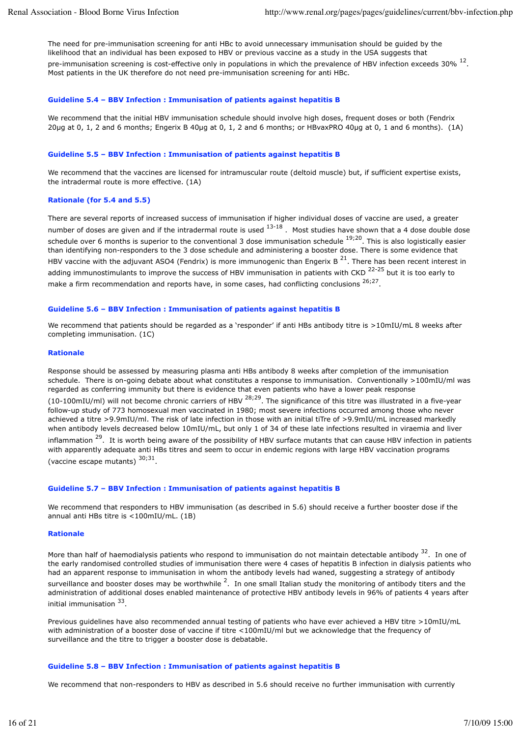The need for pre-immunisation screening for anti HBc to avoid unnecessary immunisation should be guided by the likelihood that an individual has been exposed to HBV or previous vaccine as a study in the USA suggests that pre-immunisation screening is cost-effective only in populations in which the prevalence of HBV infection exceeds 30% <sup>12</sup>. Most patients in the UK therefore do not need pre-immunisation screening for anti HBc.

## **Guideline 5.4 – BBV Infection : Immunisation of patients against hepatitis B**

We recommend that the initial HBV immunisation schedule should involve high doses, frequent doses or both (Fendrix 20µg at 0, 1, 2 and 6 months; Engerix B 40µg at 0, 1, 2 and 6 months; or HBvaxPRO 40µg at 0, 1 and 6 months). (1A)

## **Guideline 5.5 – BBV Infection : Immunisation of patients against hepatitis B**

We recommend that the vaccines are licensed for intramuscular route (deltoid muscle) but, if sufficient expertise exists, the intradermal route is more effective. (1A)

## **Rationale (for 5.4 and 5.5)**

There are several reports of increased success of immunisation if higher individual doses of vaccine are used, a greater number of doses are given and if the intradermal route is used  $^{13-18}$ . Most studies have shown that a 4 dose double dose schedule over 6 months is superior to the conventional 3 dose immunisation schedule  $^{19;20}$ . This is also logistically easier than identifying non-responders to the 3 dose schedule and administering a booster dose. There is some evidence that HBV vaccine with the adjuvant ASO4 (Fendrix) is more immunogenic than Engerix B<sup>21</sup>. There has been recent interest in adding immunostimulants to improve the success of HBV immunisation in patients with CKD<sup>22-25</sup> but it is too early to make a firm recommendation and reports have, in some cases, had conflicting conclusions <sup>26;27</sup>.

## **Guideline 5.6 – BBV Infection : Immunisation of patients against hepatitis B**

We recommend that patients should be regarded as a 'responder' if anti HBs antibody titre is >10mIU/mL 8 weeks after completing immunisation. (1C)

## **Rationale**

Response should be assessed by measuring plasma anti HBs antibody 8 weeks after completion of the immunisation schedule. There is on-going debate about what constitutes a response to immunisation. Conventionally >100mIU/ml was regarded as conferring immunity but there is evidence that even patients who have a lower peak response

(10-100mIU/ml) will not become chronic carriers of HBV  $^{28,29}$ . The significance of this titre was illustrated in a five-year follow-up study of 773 homosexual men vaccinated in 1980; most severe infections occurred among those who never achieved a titre >9.9mIU/ml. The risk of late infection in those with an initial tiTre of >9.9mIU/mL increased markedly when antibody levels decreased below 10mIU/mL, but only 1 of 34 of these late infections resulted in viraemia and liver inflammation  $^{29}$ . It is worth being aware of the possibility of HBV surface mutants that can cause HBV infection in patients with apparently adequate anti HBs titres and seem to occur in endemic regions with large HBV vaccination programs (vaccine escape mutants)  $30,31$ .

## **Guideline 5.7 – BBV Infection : Immunisation of patients against hepatitis B**

We recommend that responders to HBV immunisation (as described in 5.6) should receive a further booster dose if the annual anti HBs titre is <100mIU/mL. (1B)

## **Rationale**

More than half of haemodialysis patients who respond to immunisation do not maintain detectable antibody <sup>32</sup>. In one of the early randomised controlled studies of immunisation there were 4 cases of hepatitis B infection in dialysis patients who had an apparent response to immunisation in whom the antibody levels had waned, suggesting a strategy of antibody surveillance and booster doses may be worthwhile  $^2$ . In one small Italian study the monitoring of antibody titers and the administration of additional doses enabled maintenance of protective HBV antibody levels in 96% of patients 4 years after initial immunisation 33.

Previous guidelines have also recommended annual testing of patients who have ever achieved a HBV titre >10mIU/mL with administration of a booster dose of vaccine if titre <100mIU/ml but we acknowledge that the frequency of surveillance and the titre to trigger a booster dose is debatable.

## **Guideline 5.8 – BBV Infection : Immunisation of patients against hepatitis B**

We recommend that non-responders to HBV as described in 5.6 should receive no further immunisation with currently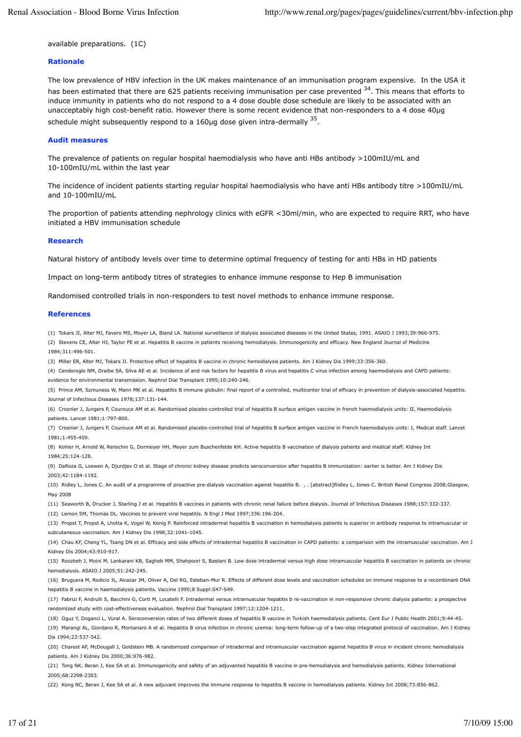available preparations. (1C)

### **Rationale**

The low prevalence of HBV infection in the UK makes maintenance of an immunisation program expensive. In the USA it has been estimated that there are 625 patients receiving immunisation per case prevented <sup>34</sup>. This means that efforts to induce immunity in patients who do not respond to a 4 dose double dose schedule are likely to be associated with an unacceptably high cost-benefit ratio. However there is some recent evidence that non-responders to a 4 dose 40µg schedule might subsequently respond to a  $160\mu$ g dose given intra-dermally  $^{35}$ .

#### **Audit measures**

The prevalence of patients on regular hospital haemodialysis who have anti HBs antibody >100mIU/mL and 10-100mIU/mL within the last year

The incidence of incident patients starting regular hospital haemodialysis who have anti HBs antibody titre >100mIU/mL and 10-100mIU/mL

The proportion of patients attending nephrology clinics with eGFR <30ml/min, who are expected to require RRT, who have initiated a HBV immunisation schedule

#### **Research**

Natural history of antibody levels over time to determine optimal frequency of testing for anti HBs in HD patients

Impact on long-term antibody titres of strategies to enhance immune response to Hep B immunisation

Randomised controlled trials in non-responders to test novel methods to enhance immune response.

#### **References**

(1) Tokars JI, Alter MJ, Favero MS, Moyer LA, Bland LA. National surveillance of dialysis associated diseases in the United States, 1991. ASAIO J 1993;39:966-975.

(2) Stevens CE, Alter HJ, Taylor PE et al. Hepatitis B vaccine in patients receiving hemodialysis. Immunogenicity and efficacy. New England Journal of Medicine 1984;311:496-501.

(3) Miller ER, Alter MJ, Tokars JI. Protective effect of hepatitis B vaccine in chronic hemodialysis patients. Am J Kidney Dis 1999;33:356-360.

(4) Cendoroglo NM, Draibe SA, Silva AE et al. Incidence of and risk factors for hepatitis B virus and hepatitis C virus infection among haemodialysis and CAPD patients: evidence for environmental transmission. Nephrol Dial Transplant 1995;10:240-246.

(5) Prince AM, Szmuness W, Mann MK et al. Hepatitis B immune globulin: final report of a controlled, multicenter trial of efficacy in prevention of dialysis-associated hepatitis. Journal of Infectious Diseases 1978;137:131-144.

(6) Crosnier J, Jungers P, Courouce AM et al. Randomised placebo-controlled trial of hepatitis B surface antigen vaccine in french haemodialysis units: II, Haemodialysis patients. Lancet 1981;1:797-800.

(7) Crosnier J, Jungers P, Courouce AM et al. Randomised placebo-controlled trial of hepatitis B surface antigen vaccine in French haemodialysis units: I, Medical staff. Lancet 1981;1:455-459.

(8) Kohler H, Arnold W, Renschin G, Dormeyer HH, Meyer zum Buschenfelde KH. Active hepatitis B vaccination of dialysis patients and medical staff. Kidney Int 1984;25:124-128.

(9) DaRoza G, Loewen A, Djurdjev O et al. Stage of chronic kidney disease predicts seroconversion after hepatitis B immunization: earlier is better. Am J Kidney Dis 2003;42:1184-1192.

(10) Ridley L, Jones C. An audit of a programme of proactive pre-dialysis vaccination against hepatitis B. , . [abstract]Ridley L, Jones C. British Renal Congress 2008;Glasgow, May 2008

(11) Seaworth B, Drucker J, Starling J et al. Hepatitis B vaccines in patients with chronic renal failure before dialysis. Journal of Infectious Diseases 1988;157:332-337.

(12) Lemon SM, Thomas DL. Vaccines to prevent viral hepatitis. N Engl J Med 1997;336:196-204.

(13) Propst T, Propst A, Lhotta K, Vogel W, Konig P. Reinforced intradermal hepatitis B vaccination in hemodialysis patients is superior in antibody response to intramuscular or subcutaneous vaccination. Am J Kidney Dis 1998;32:1041-1045.

(14) Chau KF, Cheng YL, Tsang DN et al. Efficacy and side effects of intradermal hepatitis B vaccination in CAPD patients: a comparison with the intramuscular vaccination. Am J Kidney Dis 2004;43:910-917.

(15) Roozbeh J, Moini M, Lankarani KB, Sagheb MM, Shahpoori S, Bastani B. Low dose intradermal versus high dose intramuscular hepatitis B vaccination in patients on chronic hemodialysis. ASAIO J 2005;51:242-245.

(16) Bruguera M, Rodicio JL, Alcazar JM, Oliver A, Del RG, Esteban-Mur R. Effects of different dose levels and vaccination schedules on immune response to a recombinant DNA hepatitis B vaccine in haemodialysis patients. Vaccine 1990;8 Suppl:S47-S49.

(17) Fabrizi F, Andrulli S, Bacchini G, Corti M, Locatelli F. Intradermal versus intramuscular hepatitis b re-vaccination in non-responsive chronic dialysis patients: a prospective randomized study with cost-effectiveness evaluation. Nephrol Dial Transplant 1997;12:1204-1211.

(18) Oguz Y, Doganci L, Vural A. Seroconversion rates of two different doses of hepatitis B vaccine in Turkish haemodialysis patients. Cent Eur J Public Health 2001;9:44-45.

(19) Marangi AL, Giordano R, Montanaro A et al. Hepatitis B virus infection in chronic uremia: long-term follow-up of a two-step integrated protocol of vaccination. Am J Kidney Dis 1994;23:537-542.

(20) Charest AF, McDougall J, Goldstein MB. A randomized comparison of intradermal and intramuscular vaccination against hepatitis B virus in incident chronic hemodialysis patients. Am J Kidney Dis 2000;36:976-982.

(21) Tong NK, Beran J, Kee SA et al. Immunogenicity and safety of an adjuvanted hepatitis B vaccine in pre-hemodialysis and hemodialysis patients. Kidney International 2005;68:2298-2303.

(22) Kong NC, Beran J, Kee SA et al. A new adjuvant improves the immune response to hepatitis B vaccine in hemodialysis patients. Kidney Int 2008;73:856-862.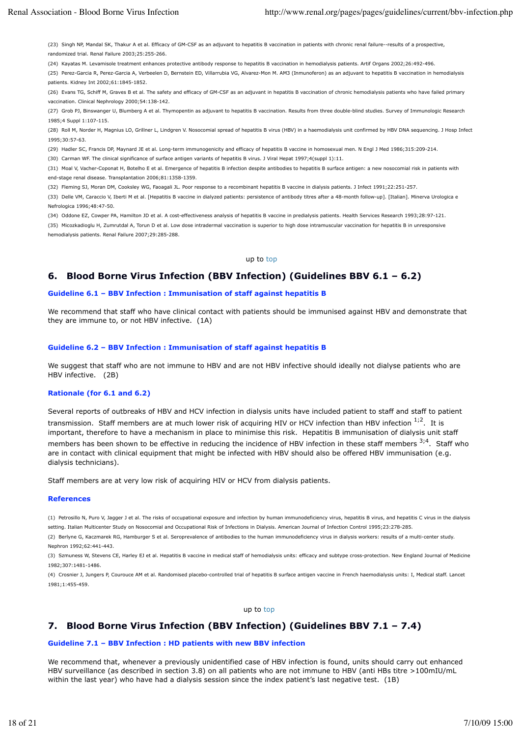(23) Singh NP, Mandal SK, Thakur A et al. Efficacy of GM-CSF as an adjuvant to hepatitis B vaccination in patients with chronic renal failure--results of a prospective, randomized trial. Renal Failure 2003;25:255-266.

(24) Kayatas M. Levamisole treatment enhances protective antibody response to hepatitis B vaccination in hemodialysis patients. Artif Organs 2002;26:492-496.

(25) Perez-Garcia R, Perez-Garcia A, Verbeelen D, Bernstein ED, Villarrubia VG, Alvarez-Mon M. AM3 (Inmunoferon) as an adjuvant to hepatitis B vaccination in hemodialysis patients. Kidney Int 2002;61:1845-1852.

(26) Evans TG, Schiff M, Graves B et al. The safety and efficacy of GM-CSF as an adjuvant in hepatitis B vaccination of chronic hemodialysis patients who have failed primary vaccination. Clinical Nephrology 2000;54:138-142.

(27) Grob PJ, Binswanger U, Blumberg A et al. Thymopentin as adjuvant to hepatitis B vaccination. Results from three double-blind studies. Survey of Immunologic Research 1985;4 Suppl 1:107-115.

(28) Roll M, Norder H, Magnius LO, Grillner L, Lindgren V. Nosocomial spread of hepatitis B virus (HBV) in a haemodialysis unit confirmed by HBV DNA sequencing. J Hosp Infect 1995;30:57-63.

(29) Hadler SC, Francis DP, Maynard JE et al. Long-term immunogenicity and efficacy of hepatitis B vaccine in homosexual men. N Engl J Med 1986;315:209-214.

(30) Carman WF. The clinical significance of surface antigen variants of hepatitis B virus. J Viral Hepat 1997;4(suppl 1):11.

(31) Moal V, Vacher-Coponat H, Botelho E et al. Emergence of hepatitis B infection despite antibodies to hepatitis B surface antigen: a new nosocomial risk in patients with end-stage renal disease. Transplantation 2006;81:1358-1359.

(32) Fleming SJ, Moran DM, Cooksley WG, Faoagali JL. Poor response to a recombinant hepatitis B vaccine in dialysis patients. J Infect 1991;22:251-257.

(33) Delle VM, Caraccio V, Iberti M et al. [Hepatitis B vaccine in dialyzed patients: persistence of antibody titres after a 48-month follow-up]. [Italian]. Minerva Urologica e Nefrologica 1996;48:47-50.

(34) Oddone EZ, Cowper PA, Hamilton JD et al. A cost-effectiveness analysis of hepatitis B vaccine in predialysis patients. Health Services Research 1993;28:97-121.

(35) Micozkadioglu H, Zumrutdal A, Torun D et al. Low dose intradermal vaccination is superior to high dose intramuscular vaccination for hepatitis B in unresponsive hemodialysis patients. Renal Failure 2007;29:285-288.

up to top

## **6. Blood Borne Virus Infection (BBV Infection) (Guidelines BBV 6.1 – 6.2)**

#### **Guideline 6.1 – BBV Infection : Immunisation of staff against hepatitis B**

We recommend that staff who have clinical contact with patients should be immunised against HBV and demonstrate that they are immune to, or not HBV infective. (1A)

### **Guideline 6.2 – BBV Infection : Immunisation of staff against hepatitis B**

We suggest that staff who are not immune to HBV and are not HBV infective should ideally not dialyse patients who are HBV infective. (2B)

#### **Rationale (for 6.1 and 6.2)**

Several reports of outbreaks of HBV and HCV infection in dialysis units have included patient to staff and staff to patient transmission. Staff members are at much lower risk of acquiring HIV or HCV infection than HBV infection  $1/2$ . It is important, therefore to have a mechanism in place to minimise this risk. Hepatitis B immunisation of dialysis unit staff members has been shown to be effective in reducing the incidence of HBV infection in these staff members  $3;4$ . Staff who are in contact with clinical equipment that might be infected with HBV should also be offered HBV immunisation (e.g. dialysis technicians).

Staff members are at very low risk of acquiring HIV or HCV from dialysis patients.

#### **References**

(1) Petrosillo N, Puro V, Jagger J et al. The risks of occupational exposure and infection by human immunodeficiency virus, hepatitis B virus, and hepatitis C virus in the dialysis setting. Italian Multicenter Study on Nosocomial and Occupational Risk of Infections in Dialysis. American Journal of Infection Control 1995;23:278-285.

(2) Berlyne G, Kaczmarek RG, Hamburger S et al. Seroprevalence of antibodies to the human immunodeficiency virus in dialysis workers: results of a multi-center study. Nephron 1992;62:441-443.

(3) Szmuness W, Stevens CE, Harley EJ et al. Hepatitis B vaccine in medical staff of hemodialysis units: efficacy and subtype cross-protection. New England Journal of Medicine 1982;307:1481-1486.

(4) Crosnier J, Jungers P, Courouce AM et al. Randomised placebo-controlled trial of hepatitis B surface antigen vaccine in French haemodialysis units: I, Medical staff. Lancet 1981;1:455-459.

up to top

## **7. Blood Borne Virus Infection (BBV Infection) (Guidelines BBV 7.1 – 7.4)**

## **Guideline 7.1 – BBV Infection : HD patients with new BBV infection**

We recommend that, whenever a previously unidentified case of HBV infection is found, units should carry out enhanced HBV surveillance (as described in section 3.8) on all patients who are not immune to HBV (anti HBs titre >100mIU/mL within the last year) who have had a dialysis session since the index patient's last negative test. (1B)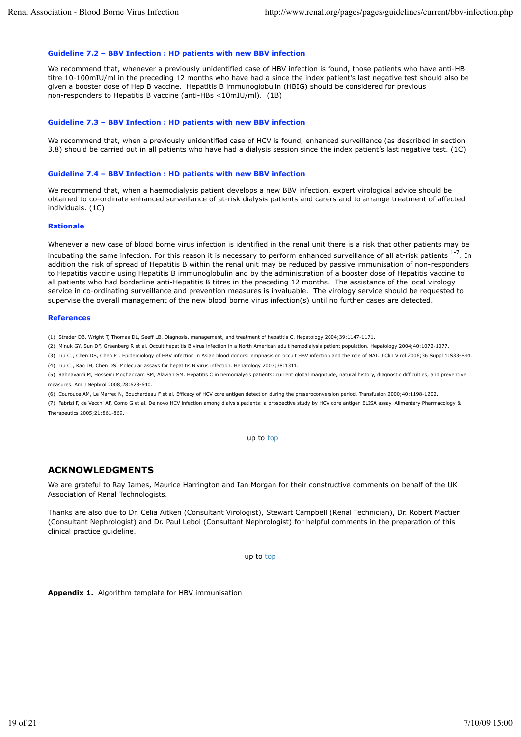#### **Guideline 7.2 – BBV Infection : HD patients with new BBV infection**

We recommend that, whenever a previously unidentified case of HBV infection is found, those patients who have anti-HB titre 10-100mIU/ml in the preceding 12 months who have had a since the index patient's last negative test should also be given a booster dose of Hep B vaccine. Hepatitis B immunoglobulin (HBIG) should be considered for previous non-responders to Hepatitis B vaccine (anti-HBs <10mIU/ml). (1B)

#### **Guideline 7.3 – BBV Infection : HD patients with new BBV infection**

We recommend that, when a previously unidentified case of HCV is found, enhanced surveillance (as described in section 3.8) should be carried out in all patients who have had a dialysis session since the index patient's last negative test. (1C)

#### **Guideline 7.4 – BBV Infection : HD patients with new BBV infection**

We recommend that, when a haemodialysis patient develops a new BBV infection, expert virological advice should be obtained to co-ordinate enhanced surveillance of at-risk dialysis patients and carers and to arrange treatment of affected individuals. (1C)

#### **Rationale**

Whenever a new case of blood borne virus infection is identified in the renal unit there is a risk that other patients may be

incubating the same infection. For this reason it is necessary to perform enhanced surveillance of all at-risk patients  $1-7$ . In addition the risk of spread of Hepatitis B within the renal unit may be reduced by passive immunisation of non-responders to Hepatitis vaccine using Hepatitis B immunoglobulin and by the administration of a booster dose of Hepatitis vaccine to all patients who had borderline anti-Hepatitis B titres in the preceding 12 months. The assistance of the local virology service in co-ordinating surveillance and prevention measures is invaluable. The virology service should be requested to supervise the overall management of the new blood borne virus infection(s) until no further cases are detected.

#### **References**

(1) Strader DB, Wright T, Thomas DL, Seeff LB. Diagnosis, management, and treatment of hepatitis C. Hepatology 2004;39:1147-1171.

(2) Minuk GY, Sun DF, Greenberg R et al. Occult hepatitis B virus infection in a North American adult hemodialysis patient population. Hepatology 2004;40:1072-1077.

(3) Liu CJ, Chen DS, Chen PJ. Epidemiology of HBV infection in Asian blood donors: emphasis on occult HBV infection and the role of NAT. J Clin Virol 2006;36 Suppl 1:S33-S44. (4) Liu CJ, Kao JH, Chen DS. Molecular assays for hepatitis B virus infection. Hepatology 2003;38:1311.

(5) Rahnavardi M, Hosseini Moghaddam SM, Alavian SM. Hepatitis C in hemodialysis patients: current global magnitude, natural history, diagnostic difficulties, and preventive measures. Am J Nephrol 2008;28:628-640.

(6) Courouce AM, Le Marrec N, Bouchardeau F et al. Efficacy of HCV core antigen detection during the preseroconversion period. Transfusion 2000;40:1198-1202.

(7) Fabrizi F, de Vecchi AF, Como G et al. De novo HCV infection among dialysis patients: a prospective study by HCV core antigen ELISA assay. Alimentary Pharmacology & Therapeutics 2005;21:861-869.

up to top

## **ACKNOWLEDGMENTS**

We are grateful to Ray James, Maurice Harrington and Ian Morgan for their constructive comments on behalf of the UK Association of Renal Technologists.

Thanks are also due to Dr. Celia Aitken (Consultant Virologist), Stewart Campbell (Renal Technician), Dr. Robert Mactier (Consultant Nephrologist) and Dr. Paul Leboi (Consultant Nephrologist) for helpful comments in the preparation of this clinical practice guideline.

up to top

**Appendix 1.** Algorithm template for HBV immunisation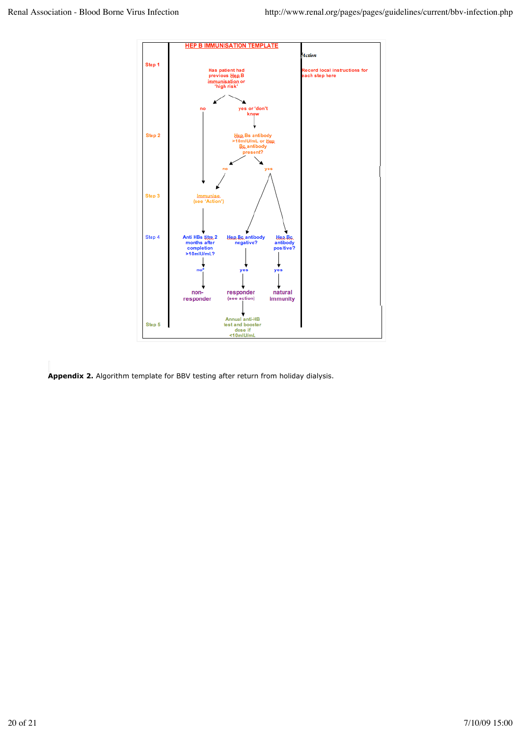

**Appendix 2.** Algorithm template for BBV testing after return from holiday dialysis.